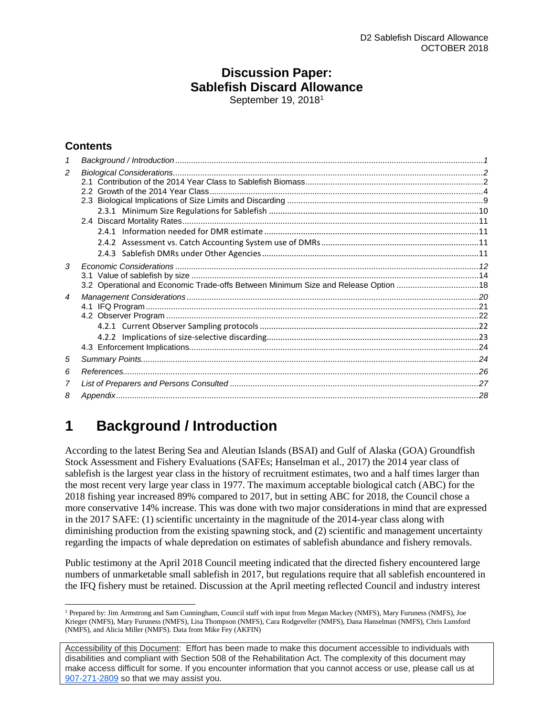## **Discussion Paper: Sablefish Discard Allowance**

September [1](#page-0-1)9, 2018<sup>1</sup>

## **Contents**

| 2              |                                                                                     |  |
|----------------|-------------------------------------------------------------------------------------|--|
|                |                                                                                     |  |
|                |                                                                                     |  |
|                |                                                                                     |  |
|                |                                                                                     |  |
|                |                                                                                     |  |
|                |                                                                                     |  |
|                |                                                                                     |  |
| 3              |                                                                                     |  |
|                |                                                                                     |  |
|                | 3.2 Operational and Economic Trade-offs Between Minimum Size and Release Option  18 |  |
| $\overline{4}$ |                                                                                     |  |
|                |                                                                                     |  |
|                |                                                                                     |  |
|                |                                                                                     |  |
|                |                                                                                     |  |
|                |                                                                                     |  |
| 5              |                                                                                     |  |
| 6              |                                                                                     |  |
| 7              |                                                                                     |  |
| 8              |                                                                                     |  |
|                |                                                                                     |  |

## <span id="page-0-0"></span>**1 Background / Introduction**

According to the latest Bering Sea and Aleutian Islands (BSAI) and Gulf of Alaska (GOA) Groundfish Stock Assessment and Fishery Evaluations (SAFEs; Hanselman et al., 2017) the 2014 year class of sablefish is the largest year class in the history of recruitment estimates, two and a half times larger than the most recent very large year class in 1977. The maximum acceptable biological catch (ABC) for the 2018 fishing year increased 89% compared to 2017, but in setting ABC for 2018, the Council chose a more conservative 14% increase. This was done with two major considerations in mind that are expressed in the 2017 SAFE: (1) scientific uncertainty in the magnitude of the 2014-year class along with diminishing production from the existing spawning stock, and (2) scientific and management uncertainty regarding the impacts of whale depredation on estimates of sablefish abundance and fishery removals.

Public testimony at the April 2018 Council meeting indicated that the directed fishery encountered large numbers of unmarketable small sablefish in 2017, but regulations require that all sablefish encountered in the IFQ fishery must be retained. Discussion at the April meeting reflected Council and industry interest

<span id="page-0-1"></span><sup>&</sup>lt;sup>1</sup> Prepared by: Jim Armstrong and Sam Cunningham, Council staff with input from Megan Mackey (NMFS), Mary Furuness (NMFS), Joe Krieger (NMFS), Mary Furuness (NMFS), Lisa Thompson (NMFS), Cara Rodgeveller (NMFS), Dana Hanselman (NMFS), Chris Lunsford (NMFS), and Alicia Miller (NMFS). Data from Mike Fey (AKFIN)

Accessibility of this Document: Effort has been made to make this document accessible to individuals with disabilities and compliant with Section 508 of the Rehabilitation Act. The complexity of this document may make access difficult for some. If you encounter information that you cannot access or use, please call us at [907-271-2809](tel:%28907%29%20586-7228) so that we may assist you.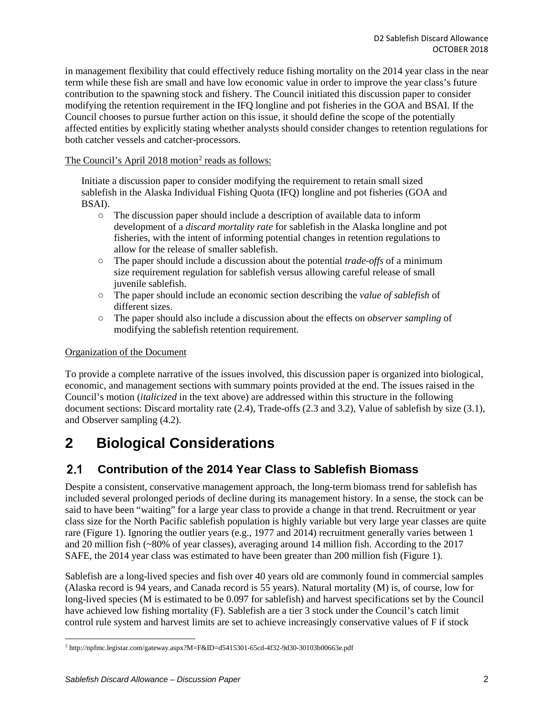in management flexibility that could effectively reduce fishing mortality on the 2014 year class in the near term while these fish are small and have low economic value in order to improve the year class's future contribution to the spawning stock and fishery. The Council initiated this discussion paper to consider modifying the retention requirement in the IFQ longline and pot fisheries in the GOA and BSAI. If the Council chooses to pursue further action on this issue, it should define the scope of the potentially affected entities by explicitly stating whether analysts should consider changes to retention regulations for both catcher vessels and catcher-processors.

The Council's April [2](#page-1-2)018 motion<sup>2</sup> reads as follows:

Initiate a discussion paper to consider modifying the requirement to retain small sized sablefish in the Alaska Individual Fishing Quota (IFQ) longline and pot fisheries (GOA and BSAI).

- The discussion paper should include a description of available data to inform development of a *discard mortality rate* for sablefish in the Alaska longline and pot fisheries, with the intent of informing potential changes in retention regulations to allow for the release of smaller sablefish.
- The paper should include a discussion about the potential *trade-offs* of a minimum size requirement regulation for sablefish versus allowing careful release of small juvenile sablefish.
- The paper should include an economic section describing the *value of sablefish* of different sizes.
- The paper should also include a discussion about the effects on *observer sampling* of modifying the sablefish retention requirement.

## Organization of the Document

To provide a complete narrative of the issues involved, this discussion paper is organized into biological, economic, and management sections with summary points provided at the end. The issues raised in the Council's motion (*italicized* in the text above) are addressed within this structure in the following document sections: Discard mortality rate [\(2.4\)](#page-10-0), Trade-offs [\(2.3](#page-8-0) and [3.2\)](#page-17-0), Value of sablefish by size [\(3.1\)](#page-13-0), and Observer sampling [\(4.2\)](#page-21-0).

## <span id="page-1-0"></span>**2 Biological Considerations**

#### <span id="page-1-1"></span> $2.1$ **Contribution of the 2014 Year Class to Sablefish Biomass**

Despite a consistent, conservative management approach, the long-term biomass trend for sablefish has included several prolonged periods of decline during its management history. In a sense, the stock can be said to have been "waiting" for a large year class to provide a change in that trend. Recruitment or year class size for the North Pacific sablefish population is highly variable but very large year classes are quite rare [\(Figure 1\)](#page-2-0). Ignoring the outlier years (e.g., 1977 and 2014) recruitment generally varies between 1 and 20 million fish (~80% of year classes), averaging around 14 million fish. According to the 2017 SAFE, the 2014 year class was estimated to have been greater than 200 million fish [\(Figure 1\)](#page-2-0).

Sablefish are a long-lived species and fish over 40 years old are commonly found in commercial samples (Alaska record is 94 years, and Canada record is 55 years). Natural mortality (M) is, of course, low for long-lived species (M is estimated to be 0.097 for sablefish) and harvest specifications set by the Council have achieved low fishing mortality (F). Sablefish are a tier 3 stock under the Council's catch limit control rule system and harvest limits are set to achieve increasingly conservative values of F if stock

<span id="page-1-2"></span> <sup>2</sup> http://npfmc.legistar.com/gateway.aspx?M=F&ID=d5415301-65cd-4f32-9d30-30103b00663e.pdf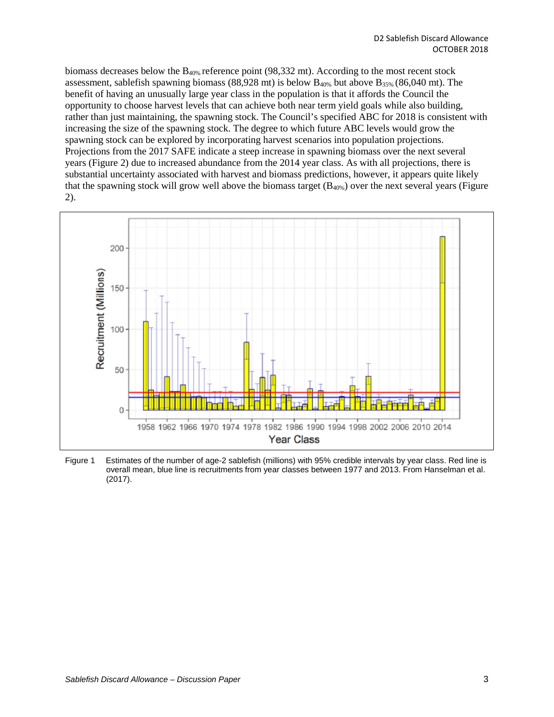biomass decreases below the  $B_{40\%}$  reference point (98,332 mt). According to the most recent stock assessment, sablefish spawning biomass (88,928 mt) is below  $B_{40\%}$  but above  $B_{35\%}$  (86,040 mt). The benefit of having an unusually large year class in the population is that it affords the Council the opportunity to choose harvest levels that can achieve both near term yield goals while also building, rather than just maintaining, the spawning stock. The Council's specified ABC for 2018 is consistent with increasing the size of the spawning stock. The degree to which future ABC levels would grow the spawning stock can be explored by incorporating harvest scenarios into population projections. Projections from the 2017 SAFE indicate a steep increase in spawning biomass over the next several years [\(Figure 2\)](#page-3-1) due to increased abundance from the 2014 year class. As with all projections, there is substantial uncertainty associated with harvest and biomass predictions, however, it appears quite likely that the spawning stock will grow well above the biomass target  $(B_{40\%})$  over the next several years (Figure [2\)](#page-3-1).



<span id="page-2-0"></span>Figure 1 Estimates of the number of age-2 sablefish (millions) with 95% credible intervals by year class. Red line is overall mean, blue line is recruitments from year classes between 1977 and 2013. From Hanselman et al. (2017).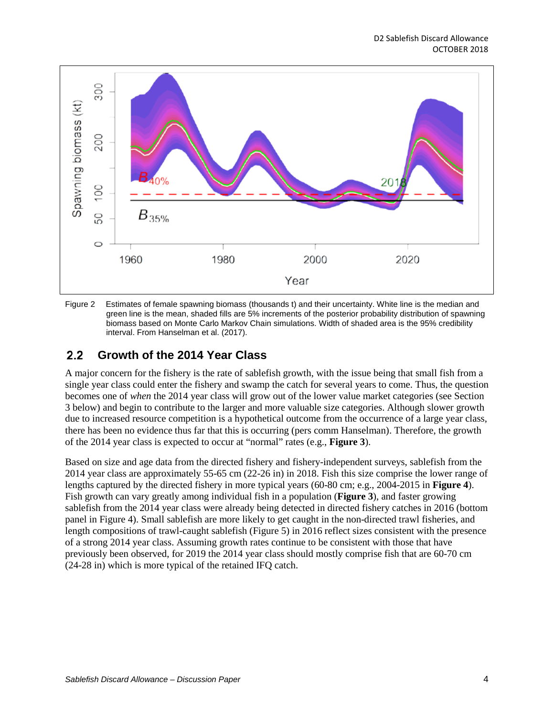

<span id="page-3-1"></span>Figure 2 Estimates of female spawning biomass (thousands t) and their uncertainty. White line is the median and green line is the mean, shaded fills are 5% increments of the posterior probability distribution of spawning biomass based on Monte Carlo Markov Chain simulations. Width of shaded area is the 95% credibility interval. From Hanselman et al. (2017).

#### <span id="page-3-0"></span> $2.2$ **Growth of the 2014 Year Class**

A major concern for the fishery is the rate of sablefish growth, with the issue being that small fish from a single year class could enter the fishery and swamp the catch for several years to come. Thus, the question becomes one of *when* the 2014 year class will grow out of the lower value market categories (see Section 3 below) and begin to contribute to the larger and more valuable size categories. Although slower growth due to increased resource competition is a hypothetical outcome from the occurrence of a large year class, there has been no evidence thus far that this is occurring (pers comm Hanselman). Therefore, the growth of the 2014 year class is expected to occur at "normal" rates (e.g., **[Figure 3](#page-4-0)**).

Based on size and age data from the directed fishery and fishery-independent surveys, sablefish from the 2014 year class are approximately 55-65 cm (22-26 in) in 2018. Fish this size comprise the lower range of lengths captured by the directed fishery in more typical years (60-80 cm; e.g., 2004-2015 in **[Figure 4](#page-5-0)**). Fish growth can vary greatly among individual fish in a population (**[Figure 3](#page-4-0)**), and faster growing sablefish from the 2014 year class were already being detected in directed fishery catches in 2016 (bottom panel in [Figure 4\)](#page-5-0). Small sablefish are more likely to get caught in the non-directed trawl fisheries, and length compositions of trawl-caught sablefish [\(Figure 5\)](#page-6-0) in 2016 reflect sizes consistent with the presence of a strong 2014 year class. Assuming growth rates continue to be consistent with those that have previously been observed, for 2019 the 2014 year class should mostly comprise fish that are 60-70 cm (24-28 in) which is more typical of the retained IFQ catch.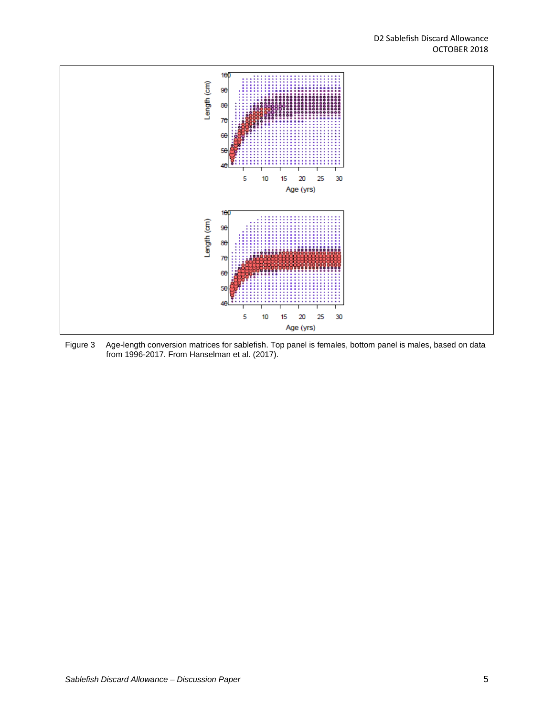

<span id="page-4-0"></span>Figure 3 Age-length conversion matrices for sablefish. Top panel is females, bottom panel is males, based on data from 1996-2017. From Hanselman et al. (2017).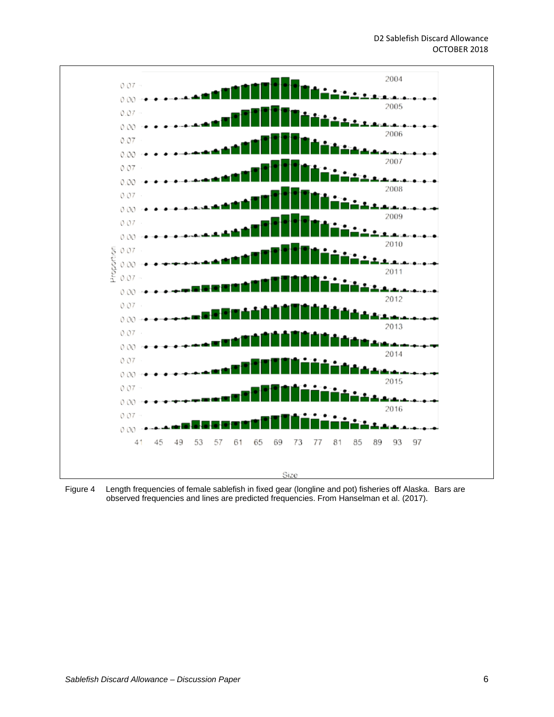

<span id="page-5-0"></span>Figure 4 Length frequencies of female sablefish in fixed gear (longline and pot) fisheries off Alaska. Bars are observed frequencies and lines are predicted frequencies. From Hanselman et al. (2017).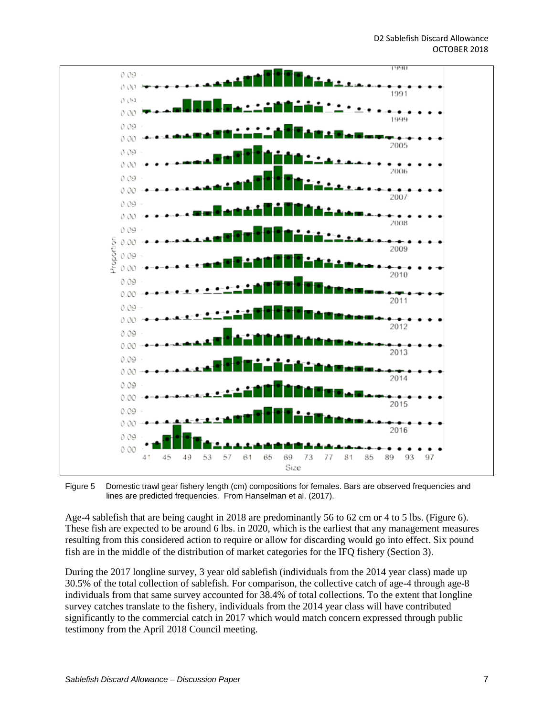

<span id="page-6-0"></span>Figure 5 Domestic trawl gear fishery length (cm) compositions for females. Bars are observed frequencies and lines are predicted frequencies. From Hanselman et al. (2017).

Age-4 sablefish that are being caught in 2018 are predominantly 56 to 62 cm or 4 to 5 lbs. [\(Figure 6\)](#page-7-0). These fish are expected to be around 6 lbs. in 2020, which is the earliest that any management measures resulting from this considered action to require or allow for discarding would go into effect. Six pound fish are in the middle of the distribution of market categories for the IFQ fishery (Section 3).

During the 2017 longline survey, 3 year old sablefish (individuals from the 2014 year class) made up 30.5% of the total collection of sablefish. For comparison, the collective catch of age-4 through age-8 individuals from that same survey accounted for 38.4% of total collections. To the extent that longline survey catches translate to the fishery, individuals from the 2014 year class will have contributed significantly to the commercial catch in 2017 which would match concern expressed through public testimony from the April 2018 Council meeting.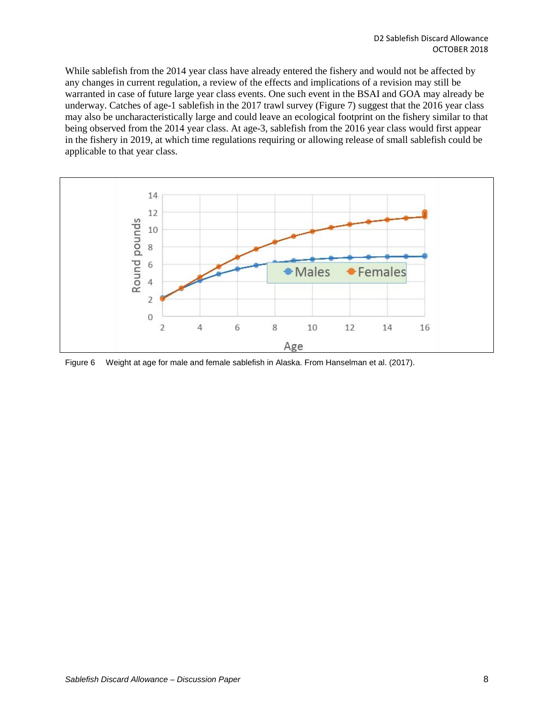While sablefish from the 2014 year class have already entered the fishery and would not be affected by any changes in current regulation, a review of the effects and implications of a revision may still be warranted in case of future large year class events. One such event in the BSAI and GOA may already be underway. Catches of age-1 sablefish in the 2017 trawl survey [\(Figure 7\)](#page-8-1) suggest that the 2016 year class may also be uncharacteristically large and could leave an ecological footprint on the fishery similar to that being observed from the 2014 year class. At age-3, sablefish from the 2016 year class would first appear in the fishery in 2019, at which time regulations requiring or allowing release of small sablefish could be applicable to that year class.



<span id="page-7-0"></span>Figure 6 Weight at age for male and female sablefish in Alaska. From Hanselman et al. (2017).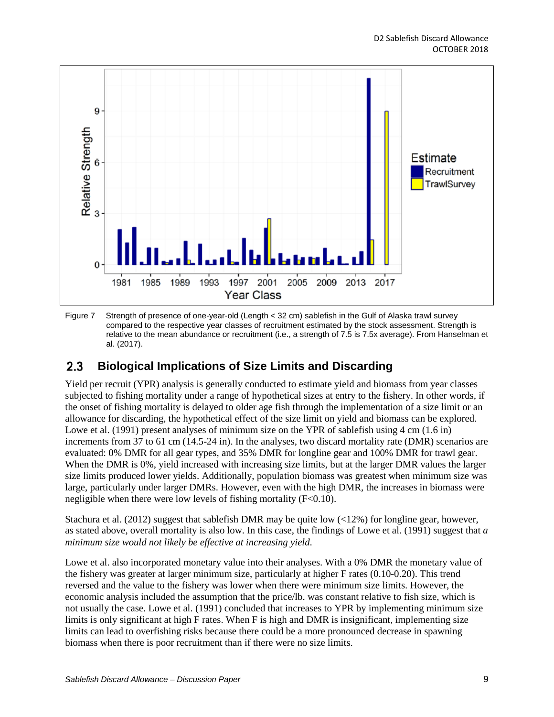

<span id="page-8-1"></span>Figure 7 Strength of presence of one-year-old (Length < 32 cm) sablefish in the Gulf of Alaska trawl survey compared to the respective year classes of recruitment estimated by the stock assessment. Strength is relative to the mean abundance or recruitment (i.e., a strength of 7.5 is 7.5x average). From Hanselman et al. (2017).

#### <span id="page-8-0"></span>**Biological Implications of Size Limits and Discarding**  $2.3$

Yield per recruit (YPR) analysis is generally conducted to estimate yield and biomass from year classes subjected to fishing mortality under a range of hypothetical sizes at entry to the fishery. In other words, if the onset of fishing mortality is delayed to older age fish through the implementation of a size limit or an allowance for discarding, the hypothetical effect of the size limit on yield and biomass can be explored. Lowe et al. (1991) present analyses of minimum size on the YPR of sablefish using 4 cm (1.6 in) increments from 37 to 61 cm (14.5-24 in). In the analyses, two discard mortality rate (DMR) scenarios are evaluated: 0% DMR for all gear types, and 35% DMR for longline gear and 100% DMR for trawl gear. When the DMR is 0%, yield increased with increasing size limits, but at the larger DMR values the larger size limits produced lower yields. Additionally, population biomass was greatest when minimum size was large, particularly under larger DMRs. However, even with the high DMR, the increases in biomass were negligible when there were low levels of fishing mortality  $(F<0.10)$ .

Stachura et al. (2012) suggest that sablefish DMR may be quite low (<12%) for longline gear, however, as stated above, overall mortality is also low. In this case, the findings of Lowe et al. (1991) suggest that *a minimum size would not likely be effective at increasing yield*.

Lowe et al. also incorporated monetary value into their analyses. With a 0% DMR the monetary value of the fishery was greater at larger minimum size, particularly at higher F rates (0.10-0.20). This trend reversed and the value to the fishery was lower when there were minimum size limits. However, the economic analysis included the assumption that the price/lb. was constant relative to fish size, which is not usually the case. Lowe et al. (1991) concluded that increases to YPR by implementing minimum size limits is only significant at high F rates. When F is high and DMR is insignificant, implementing size limits can lead to overfishing risks because there could be a more pronounced decrease in spawning biomass when there is poor recruitment than if there were no size limits.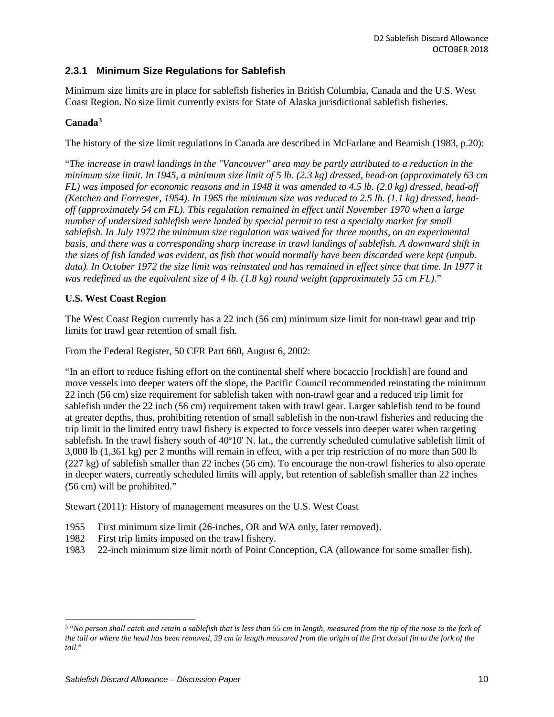## <span id="page-9-0"></span>**2.3.1 Minimum Size Regulations for Sablefish**

Minimum size limits are in place for sablefish fisheries in British Columbia, Canada and the U.S. West Coast Region. No size limit currently exists for State of Alaska jurisdictional sablefish fisheries.

## **Canada[3](#page-9-1)**

The history of the size limit regulations in Canada are described in McFarlane and Beamish (1983, p.20):

"*The increase in trawl landings in the "Vancouver" area may be partly attributed to a reduction in the minimum size limit. In 1945, a minimum size limit of 5 lb. (2.3 kg) dressed, head-on (approximately 63 cm FL) was imposed for economic reasons and in 1948 it was amended to 4.5 lb. (2.0 kg) dressed, head-off (Ketchen and Forrester, 1954). In 1965 the minimum size was reduced to 2.5 lb. (1.1 kg) dressed, headoff (approximately 54 cm FL). This regulation remained in effect until November 1970 when a large number of undersized sablefish were landed by special permit to test a specialty market for small sablefish. In July 1972 the minimum size regulation was waived for three months, on an experimental basis, and there was a corresponding sharp increase in trawl landings of sablefish. A downward shift in the sizes of fish landed was evident, as fish that would normally have been discarded were kept (unpub. data). In October 1972 the size limit was reinstated and has remained in effect since that time. In 1977 it was redefined as the equivalent size of 4 lb. (1.8 kg) round weight (approximately 55 cm FL).*"

### **U.S. West Coast Region**

The West Coast Region currently has a 22 inch (56 cm) minimum size limit for non-trawl gear and trip limits for trawl gear retention of small fish.

From the Federal Register, 50 CFR Part 660, August 6, 2002:

"In an effort to reduce fishing effort on the continental shelf where bocaccio [rockfish] are found and move vessels into deeper waters off the slope, the Pacific Council recommended reinstating the minimum 22 inch (56 cm) size requirement for sablefish taken with non-trawl gear and a reduced trip limit for sablefish under the 22 inch (56 cm) requirement taken with trawl gear. Larger sablefish tend to be found at greater depths, thus, prohibiting retention of small sablefish in the non-trawl fisheries and reducing the trip limit in the limited entry trawl fishery is expected to force vessels into deeper water when targeting sablefish. In the trawl fishery south of 40º10' N. lat., the currently scheduled cumulative sablefish limit of 3,000 lb (1,361 kg) per 2 months will remain in effect, with a per trip restriction of no more than 500 lb (227 kg) of sablefish smaller than 22 inches (56 cm). To encourage the non-trawl fisheries to also operate in deeper waters, currently scheduled limits will apply, but retention of sablefish smaller than 22 inches (56 cm) will be prohibited."

Stewart (2011): History of management measures on the U.S. West Coast

- 1955 First minimum size limit (26-inches, OR and WA only, later removed).
- 1982 First trip limits imposed on the trawl fishery.
- 1983 22-inch minimum size limit north of Point Conception, CA (allowance for some smaller fish).

<span id="page-9-1"></span> <sup>3</sup> "*No person shall catch and retain a sablefish that is less than 55 cm in length, measured from the tip of the nose to the fork of the tail or where the head has been removed, 39 cm in length measured from the origin of the first dorsal fin to the fork of the tail.*"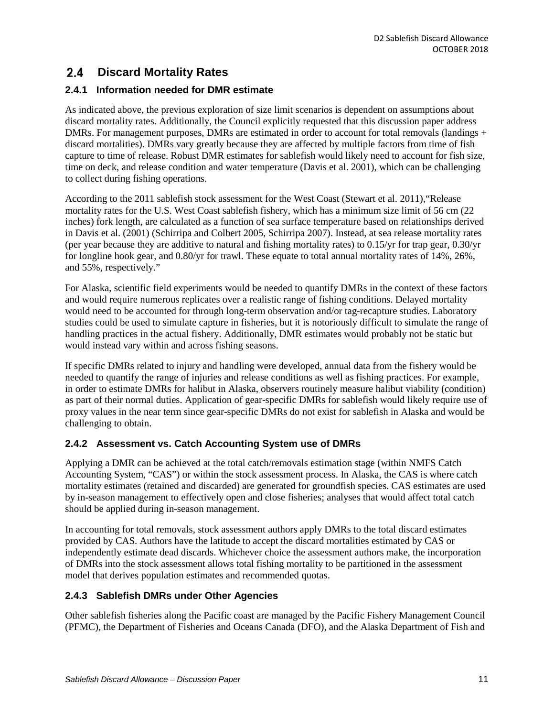#### <span id="page-10-0"></span> $2.4$ **Discard Mortality Rates**

## <span id="page-10-1"></span>**2.4.1 Information needed for DMR estimate**

As indicated above, the previous exploration of size limit scenarios is dependent on assumptions about discard mortality rates. Additionally, the Council explicitly requested that this discussion paper address DMRs. For management purposes, DMRs are estimated in order to account for total removals (landings + discard mortalities). DMRs vary greatly because they are affected by multiple factors from time of fish capture to time of release. Robust DMR estimates for sablefish would likely need to account for fish size, time on deck, and release condition and water temperature (Davis et al. 2001), which can be challenging to collect during fishing operations.

According to the 2011 sablefish stock assessment for the West Coast (Stewart et al. 2011),"Release mortality rates for the U.S. West Coast sablefish fishery, which has a minimum size limit of 56 cm (22 inches) fork length, are calculated as a function of sea surface temperature based on relationships derived in Davis et al. (2001) (Schirripa and Colbert 2005, Schirripa 2007). Instead, at sea release mortality rates (per year because they are additive to natural and fishing mortality rates) to 0.15/yr for trap gear, 0.30/yr for longline hook gear, and 0.80/yr for trawl. These equate to total annual mortality rates of 14%, 26%, and 55%, respectively."

For Alaska, scientific field experiments would be needed to quantify DMRs in the context of these factors and would require numerous replicates over a realistic range of fishing conditions. Delayed mortality would need to be accounted for through long-term observation and/or tag-recapture studies. Laboratory studies could be used to simulate capture in fisheries, but it is notoriously difficult to simulate the range of handling practices in the actual fishery. Additionally, DMR estimates would probably not be static but would instead vary within and across fishing seasons.

If specific DMRs related to injury and handling were developed, annual data from the fishery would be needed to quantify the range of injuries and release conditions as well as fishing practices. For example, in order to estimate DMRs for halibut in Alaska, observers routinely measure halibut viability (condition) as part of their normal duties. Application of gear-specific DMRs for sablefish would likely require use of proxy values in the near term since gear-specific DMRs do not exist for sablefish in Alaska and would be challenging to obtain.

## <span id="page-10-2"></span>**2.4.2 Assessment vs. Catch Accounting System use of DMRs**

Applying a DMR can be achieved at the total catch/removals estimation stage (within NMFS Catch Accounting System, "CAS") or within the stock assessment process. In Alaska, the CAS is where catch mortality estimates (retained and discarded) are generated for groundfish species. CAS estimates are used by in-season management to effectively open and close fisheries; analyses that would affect total catch should be applied during in-season management.

In accounting for total removals, stock assessment authors apply DMRs to the total discard estimates provided by CAS. Authors have the latitude to accept the discard mortalities estimated by CAS or independently estimate dead discards. Whichever choice the assessment authors make, the incorporation of DMRs into the stock assessment allows total fishing mortality to be partitioned in the assessment model that derives population estimates and recommended quotas.

## <span id="page-10-3"></span>**2.4.3 Sablefish DMRs under Other Agencies**

Other sablefish fisheries along the Pacific coast are managed by the Pacific Fishery Management Council (PFMC), the Department of Fisheries and Oceans Canada (DFO), and the Alaska Department of Fish and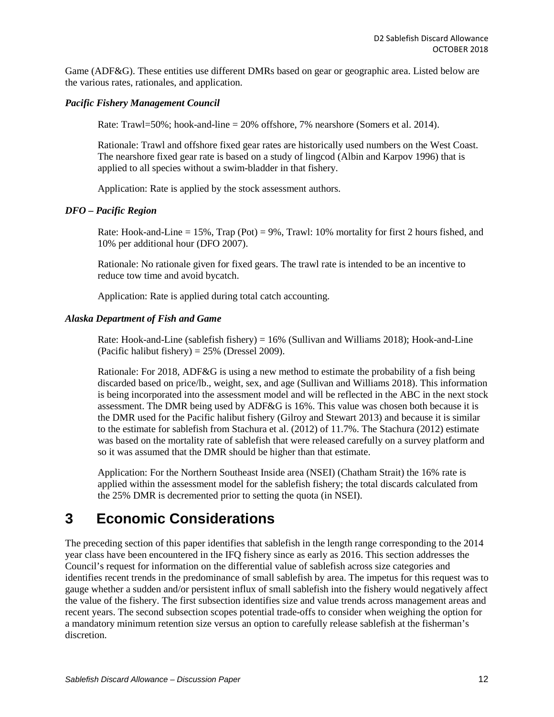Game (ADF&G). These entities use different DMRs based on gear or geographic area. Listed below are the various rates, rationales, and application.

### *Pacific Fishery Management Council*

Rate: Trawl=50%; hook-and-line = 20% offshore, 7% nearshore (Somers et al. 2014).

Rationale: Trawl and offshore fixed gear rates are historically used numbers on the West Coast. The nearshore fixed gear rate is based on a study of lingcod (Albin and Karpov 1996) that is applied to all species without a swim-bladder in that fishery.

Application: Rate is applied by the stock assessment authors.

### *DFO – Pacific Region*

Rate: Hook-and-Line  $= 15\%$ , Trap (Pot)  $= 9\%$ , Trawl: 10% mortality for first 2 hours fished, and 10% per additional hour (DFO 2007).

Rationale: No rationale given for fixed gears. The trawl rate is intended to be an incentive to reduce tow time and avoid bycatch.

Application: Rate is applied during total catch accounting.

### *Alaska Department of Fish and Game*

Rate: Hook-and-Line (sablefish fishery) =  $16\%$  (Sullivan and Williams 2018); Hook-and-Line (Pacific halibut fishery) =  $25\%$  (Dressel 2009).

Rationale: For 2018, ADF&G is using a new method to estimate the probability of a fish being discarded based on price/lb., weight, sex, and age (Sullivan and Williams 2018). This information is being incorporated into the assessment model and will be reflected in the ABC in the next stock assessment. The DMR being used by ADF&G is 16%. This value was chosen both because it is the DMR used for the Pacific halibut fishery (Gilroy and Stewart 2013) and because it is similar to the estimate for sablefish from Stachura et al. (2012) of 11.7%. The Stachura (2012) estimate was based on the mortality rate of sablefish that were released carefully on a survey platform and so it was assumed that the DMR should be higher than that estimate.

Application: For the Northern Southeast Inside area (NSEI) (Chatham Strait) the 16% rate is applied within the assessment model for the sablefish fishery; the total discards calculated from the 25% DMR is decremented prior to setting the quota (in NSEI).

## <span id="page-11-0"></span>**3 Economic Considerations**

The preceding section of this paper identifies that sablefish in the length range corresponding to the 2014 year class have been encountered in the IFQ fishery since as early as 2016. This section addresses the Council's request for information on the differential value of sablefish across size categories and identifies recent trends in the predominance of small sablefish by area. The impetus for this request was to gauge whether a sudden and/or persistent influx of small sablefish into the fishery would negatively affect the value of the fishery. The first subsection identifies size and value trends across management areas and recent years. The second subsection scopes potential trade-offs to consider when weighing the option for a mandatory minimum retention size versus an option to carefully release sablefish at the fisherman's discretion.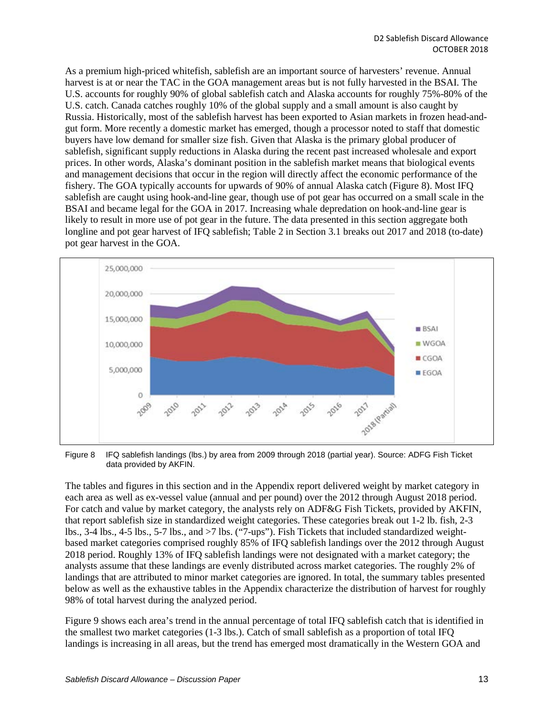As a premium high-priced whitefish, sablefish are an important source of harvesters' revenue. Annual harvest is at or near the TAC in the GOA management areas but is not fully harvested in the BSAI. The U.S. accounts for roughly 90% of global sablefish catch and Alaska accounts for roughly 75%-80% of the U.S. catch. Canada catches roughly 10% of the global supply and a small amount is also caught by Russia. Historically, most of the sablefish harvest has been exported to Asian markets in frozen head-andgut form. More recently a domestic market has emerged, though a processor noted to staff that domestic buyers have low demand for smaller size fish. Given that Alaska is the primary global producer of sablefish, significant supply reductions in Alaska during the recent past increased wholesale and export prices. In other words, Alaska's dominant position in the sablefish market means that biological events and management decisions that occur in the region will directly affect the economic performance of the fishery. The GOA typically accounts for upwards of 90% of annual Alaska catch [\(Figure 8\)](#page-12-0). Most IFQ sablefish are caught using hook-and-line gear, though use of pot gear has occurred on a small scale in the BSAI and became legal for the GOA in 2017. Increasing whale depredation on hook-and-line gear is likely to result in more use of pot gear in the future. The data presented in this section aggregate both longline and pot gear harvest of IFQ sablefish[; Table 2](#page-15-0) in Section [3.1](#page-13-0) breaks out 2017 and 2018 (to-date) pot gear harvest in the GOA.



<span id="page-12-0"></span>Figure 8 IFQ sablefish landings (lbs.) by area from 2009 through 2018 (partial year). Source: ADFG Fish Ticket data provided by AKFIN.

The tables and figures in this section and in the Appendix report delivered weight by market category in each area as well as ex-vessel value (annual and per pound) over the 2012 through August 2018 period. For catch and value by market category, the analysts rely on ADF&G Fish Tickets, provided by AKFIN, that report sablefish size in standardized weight categories. These categories break out 1-2 lb. fish, 2-3 lbs., 3-4 lbs., 4-5 lbs., 5-7 lbs., and >7 lbs. ("7-ups"). Fish Tickets that included standardized weightbased market categories comprised roughly 85% of IFQ sablefish landings over the 2012 through August 2018 period. Roughly 13% of IFQ sablefish landings were not designated with a market category; the analysts assume that these landings are evenly distributed across market categories. The roughly 2% of landings that are attributed to minor market categories are ignored. In total, the summary tables presented below as well as the exhaustive tables in the Appendix characterize the distribution of harvest for roughly 98% of total harvest during the analyzed period.

[Figure 9](#page-13-1) shows each area's trend in the annual percentage of total IFQ sablefish catch that is identified in the smallest two market categories (1-3 lbs.). Catch of small sablefish as a proportion of total IFQ landings is increasing in all areas, but the trend has emerged most dramatically in the Western GOA and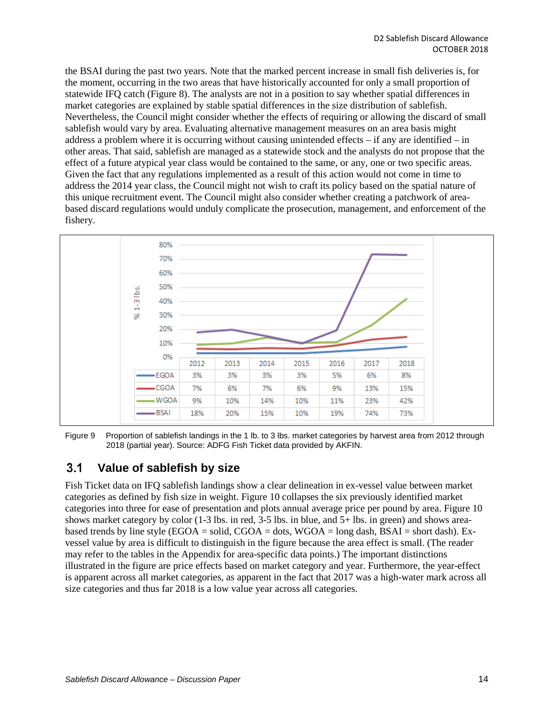the BSAI during the past two years. Note that the marked percent increase in small fish deliveries is, for the moment, occurring in the two areas that have historically accounted for only a small proportion of statewide IFQ catch [\(Figure 8\)](#page-12-0). The analysts are not in a position to say whether spatial differences in market categories are explained by stable spatial differences in the size distribution of sablefish. Nevertheless, the Council might consider whether the effects of requiring or allowing the discard of small sablefish would vary by area. Evaluating alternative management measures on an area basis might address a problem where it is occurring without causing unintended effects – if any are identified – in other areas. That said, sablefish are managed as a statewide stock and the analysts do not propose that the effect of a future atypical year class would be contained to the same, or any, one or two specific areas. Given the fact that any regulations implemented as a result of this action would not come in time to address the 2014 year class, the Council might not wish to craft its policy based on the spatial nature of this unique recruitment event. The Council might also consider whether creating a patchwork of areabased discard regulations would unduly complicate the prosecution, management, and enforcement of the fishery.



<span id="page-13-1"></span>Figure 9 Proportion of sablefish landings in the 1 lb. to 3 lbs. market categories by harvest area from 2012 through 2018 (partial year). Source: ADFG Fish Ticket data provided by AKFIN.

#### <span id="page-13-0"></span> $3.1$ **Value of sablefish by size**

Fish Ticket data on IFQ sablefish landings show a clear delineation in ex-vessel value between market categories as defined by fish size in weight[. Figure 10](#page-14-0) collapses the six previously identified market categories into three for ease of presentation and plots annual average price per pound by area[. Figure 10](#page-14-0) shows market category by color (1-3 lbs. in red, 3-5 lbs. in blue, and 5+ lbs. in green) and shows areabased trends by line style (EGOA = solid, CGOA = dots,  $WGOA = long$  dash, BSAI = short dash). Exvessel value by area is difficult to distinguish in the figure because the area effect is small. (The reader may refer to the tables in the Appendix for area-specific data points.) The important distinctions illustrated in the figure are price effects based on market category and year. Furthermore, the year-effect is apparent across all market categories, as apparent in the fact that 2017 was a high-water mark across all size categories and thus far 2018 is a low value year across all categories.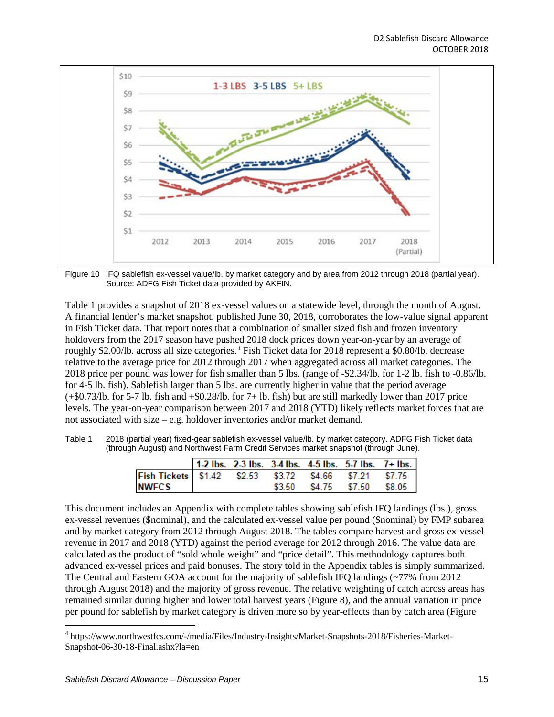

<span id="page-14-0"></span>Figure 10 IFQ sablefish ex-vessel value/lb. by market category and by area from 2012 through 2018 (partial year). Source: ADFG Fish Ticket data provided by AKFIN.

[Table 1](#page-14-1) provides a snapshot of 2018 ex-vessel values on a statewide level, through the month of August. A financial lender's market snapshot, published June 30, 2018, corroborates the low-value signal apparent in Fish Ticket data. That report notes that a combination of smaller sized fish and frozen inventory holdovers from the 2017 season have pushed 2018 dock prices down year-on-year by an average of roughly \$2.00/lb. across all size categories.[4](#page-14-2) Fish Ticket data for 2018 represent a \$0.80/lb. decrease relative to the average price for 2012 through 2017 when aggregated across all market categories. The 2018 price per pound was lower for fish smaller than 5 lbs. (range of -\$2.34/lb. for 1-2 lb. fish to -0.86/lb. for 4-5 lb. fish). Sablefish larger than 5 lbs. are currently higher in value that the period average  $(+\$0.73/lb.$  for 5-7 lb. fish and  $+\$0.28/lb.$  for 7+ lb. fish) but are still markedly lower than 2017 price levels. The year-on-year comparison between 2017 and 2018 (YTD) likely reflects market forces that are not associated with size – e.g. holdover inventories and/or market demand.

<span id="page-14-1"></span>Table 1 2018 (partial year) fixed-gear sablefish ex-vessel value/lb. by market category. ADFG Fish Ticket data (through August) and Northwest Farm Credit Services market snapshot (through June).

|                                                                         |  |  | 1-2 lbs. 2-3 lbs. 3-4 lbs. 4-5 lbs. 5-7 lbs. 7+ lbs. $ $ |  |
|-------------------------------------------------------------------------|--|--|----------------------------------------------------------|--|
| Fish Tickets   \$1.42    \$2.53    \$3.72    \$4.66    \$7.21    \$7.75 |  |  |                                                          |  |
| <b>NWFCS</b>                                                            |  |  | \$3.50 \$4.75 \$7.50 \$8.05                              |  |

This document includes an Appendix with complete tables showing sablefish IFQ landings (lbs.), gross ex-vessel revenues (\$nominal), and the calculated ex-vessel value per pound (\$nominal) by FMP subarea and by market category from 2012 through August 2018. The tables compare harvest and gross ex-vessel revenue in 2017 and 2018 (YTD) against the period average for 2012 through 2016. The value data are calculated as the product of "sold whole weight" and "price detail". This methodology captures both advanced ex-vessel prices and paid bonuses. The story told in the Appendix tables is simply summarized. The Central and Eastern GOA account for the majority of sablefish IFQ landings (~77% from 2012 through August 2018) and the majority of gross revenue. The relative weighting of catch across areas has remained similar during higher and lower total harvest years [\(Figure 8\)](#page-12-0), and the annual variation in price per pound for sablefish by market category is driven more so by year-effects than by catch area [\(Figure](#page-14-0) 

<span id="page-14-2"></span> <sup>4</sup> https://www.northwestfcs.com/-/media/Files/Industry-Insights/Market-Snapshots-2018/Fisheries-Market-Snapshot-06-30-18-Final.ashx?la=en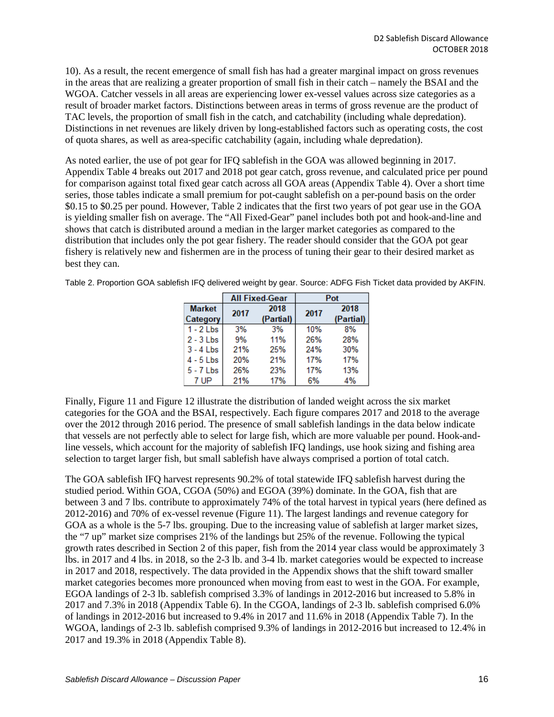[10\)](#page-14-0). As a result, the recent emergence of small fish has had a greater marginal impact on gross revenues in the areas that are realizing a greater proportion of small fish in their catch – namely the BSAI and the WGOA. Catcher vessels in all areas are experiencing lower ex-vessel values across size categories as a result of broader market factors. Distinctions between areas in terms of gross revenue are the product of TAC levels, the proportion of small fish in the catch, and catchability (including whale depredation). Distinctions in net revenues are likely driven by long-established factors such as operating costs, the cost of quota shares, as well as area-specific catchability (again, including whale depredation).

As noted earlier, the use of pot gear for IFQ sablefish in the GOA was allowed beginning in 2017. Appendix [Table 4](#page-27-1) breaks out 2017 and 2018 pot gear catch, gross revenue, and calculated price per pound for comparison against total fixed gear catch across all GOA areas (Appendix [Table 4\)](#page-27-1). Over a short time series, those tables indicate a small premium for pot-caught sablefish on a per-pound basis on the order \$0.15 to \$0.25 per pound. However, [Table 2](#page-15-0) indicates that the first two years of pot gear use in the GOA is yielding smaller fish on average. The "All Fixed-Gear" panel includes both pot and hook-and-line and shows that catch is distributed around a median in the larger market categories as compared to the distribution that includes only the pot gear fishery. The reader should consider that the GOA pot gear fishery is relatively new and fishermen are in the process of tuning their gear to their desired market as best they can.

<span id="page-15-0"></span>

|  | Table 2. Proportion GOA sablefish IFQ delivered weight by gear. Source: ADFG Fish Ticket data provided by AKFIN. |  |  |
|--|------------------------------------------------------------------------------------------------------------------|--|--|
|--|------------------------------------------------------------------------------------------------------------------|--|--|

|               |      | <b>All Fixed-Gear</b> |      | Pot       |
|---------------|------|-----------------------|------|-----------|
| <b>Market</b> | 2017 | 2018                  | 2017 | 2018      |
| Category      |      | (Partial)             |      | (Partial) |
| $1 - 2$ Lbs   | 3%   | 3%                    | 10%  | 8%        |
| $2 - 3$ Lbs   | 9%   | 11%                   | 26%  | 28%       |
| $3 - 4$ Lbs   | 21%  | 25%                   | 24%  | 30%       |
| 4 - 5 Lbs     | 20%  | 21%                   | 17%  | 17%       |
| $5 - 7$ Lbs   | 26%  | 23%                   | 17%  | 13%       |
| 7 UP          | 21%  | 17%                   | 6%   | 4%        |

Finally, [Figure 11](#page-16-0) and [Figure 12](#page-17-1) illustrate the distribution of landed weight across the six market categories for the GOA and the BSAI, respectively. Each figure compares 2017 and 2018 to the average over the 2012 through 2016 period. The presence of small sablefish landings in the data below indicate that vessels are not perfectly able to select for large fish, which are more valuable per pound. Hook-andline vessels, which account for the majority of sablefish IFQ landings, use hook sizing and fishing area selection to target larger fish, but small sablefish have always comprised a portion of total catch.

The GOA sablefish IFQ harvest represents 90.2% of total statewide IFQ sablefish harvest during the studied period. Within GOA, CGOA (50%) and EGOA (39%) dominate. In the GOA, fish that are between 3 and 7 lbs. contribute to approximately 74% of the total harvest in typical years (here defined as 2012-2016) and 70% of ex-vessel revenue [\(Figure 11\)](#page-16-0). The largest landings and revenue category for GOA as a whole is the 5-7 lbs. grouping. Due to the increasing value of sablefish at larger market sizes, the "7 up" market size comprises 21% of the landings but 25% of the revenue. Following the typical growth rates described in Section [2](#page-1-0) of this paper, fish from the 2014 year class would be approximately 3 lbs. in 2017 and 4 lbs. in 2018, so the 2-3 lb. and 3-4 lb. market categories would be expected to increase in 2017 and 2018, respectively. The data provided in the Appendix shows that the shift toward smaller market categories becomes more pronounced when moving from east to west in the GOA. For example, EGOA landings of 2-3 lb. sablefish comprised 3.3% of landings in 2012-2016 but increased to 5.8% in 2017 and 7.3% in 2018 (Appendix [Table 6\)](#page-28-0). In the CGOA, landings of 2-3 lb. sablefish comprised 6.0% of landings in 2012-2016 but increased to 9.4% in 2017 and 11.6% in 2018 (Appendix [Table 7\)](#page-29-0). In the WGOA, landings of 2-3 lb. sablefish comprised 9.3% of landings in 2012-2016 but increased to 12.4% in 2017 and 19.3% in 2018 (Appendix [Table 8\)](#page-30-0).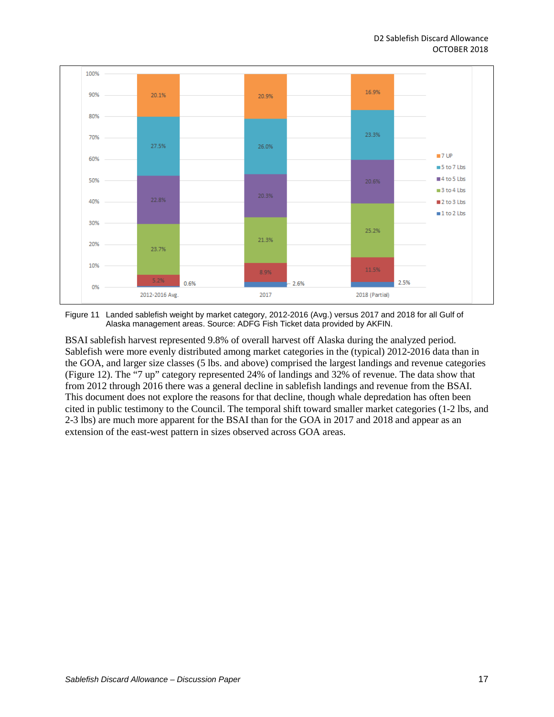

<span id="page-16-0"></span>Figure 11 Landed sablefish weight by market category, 2012-2016 (Avg.) versus 2017 and 2018 for all Gulf of Alaska management areas. Source: ADFG Fish Ticket data provided by AKFIN.

BSAI sablefish harvest represented 9.8% of overall harvest off Alaska during the analyzed period. Sablefish were more evenly distributed among market categories in the (typical) 2012-2016 data than in the GOA, and larger size classes (5 lbs. and above) comprised the largest landings and revenue categories [\(Figure 12\)](#page-17-1). The "7 up" category represented 24% of landings and 32% of revenue. The data show that from 2012 through 2016 there was a general decline in sablefish landings and revenue from the BSAI. This document does not explore the reasons for that decline, though whale depredation has often been cited in public testimony to the Council. The temporal shift toward smaller market categories (1-2 lbs, and 2-3 lbs) are much more apparent for the BSAI than for the GOA in 2017 and 2018 and appear as an extension of the east-west pattern in sizes observed across GOA areas.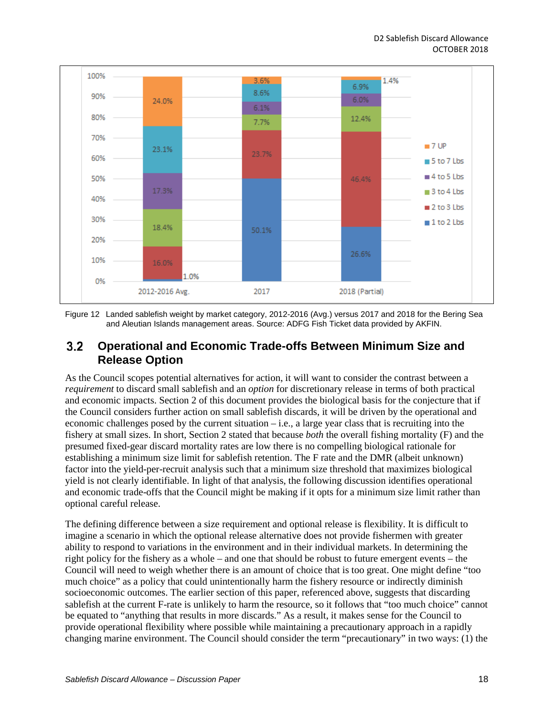

<span id="page-17-1"></span>Figure 12 Landed sablefish weight by market category, 2012-2016 (Avg.) versus 2017 and 2018 for the Bering Sea and Aleutian Islands management areas. Source: ADFG Fish Ticket data provided by AKFIN.

#### <span id="page-17-0"></span> $3.2$ **Operational and Economic Trade-offs Between Minimum Size and Release Option**

As the Council scopes potential alternatives for action, it will want to consider the contrast between a *requirement* to discard small sablefish and an *option* for discretionary release in terms of both practical and economic impacts. Section [2](#page-1-0) of this document provides the biological basis for the conjecture that if the Council considers further action on small sablefish discards, it will be driven by the operational and economic challenges posed by the current situation – i.e., a large year class that is recruiting into the fishery at small sizes. In short, Sectio[n 2](#page-1-0) stated that because *both* the overall fishing mortality (F) and the presumed fixed-gear discard mortality rates are low there is no compelling biological rationale for establishing a minimum size limit for sablefish retention. The F rate and the DMR (albeit unknown) factor into the yield-per-recruit analysis such that a minimum size threshold that maximizes biological yield is not clearly identifiable. In light of that analysis, the following discussion identifies operational and economic trade-offs that the Council might be making if it opts for a minimum size limit rather than optional careful release.

The defining difference between a size requirement and optional release is flexibility. It is difficult to imagine a scenario in which the optional release alternative does not provide fishermen with greater ability to respond to variations in the environment and in their individual markets. In determining the right policy for the fishery as a whole – and one that should be robust to future emergent events – the Council will need to weigh whether there is an amount of choice that is too great. One might define "too much choice" as a policy that could unintentionally harm the fishery resource or indirectly diminish socioeconomic outcomes. The earlier section of this paper, referenced above, suggests that discarding sablefish at the current F-rate is unlikely to harm the resource, so it follows that "too much choice" cannot be equated to "anything that results in more discards." As a result, it makes sense for the Council to provide operational flexibility where possible while maintaining a precautionary approach in a rapidly changing marine environment. The Council should consider the term "precautionary" in two ways: (1) the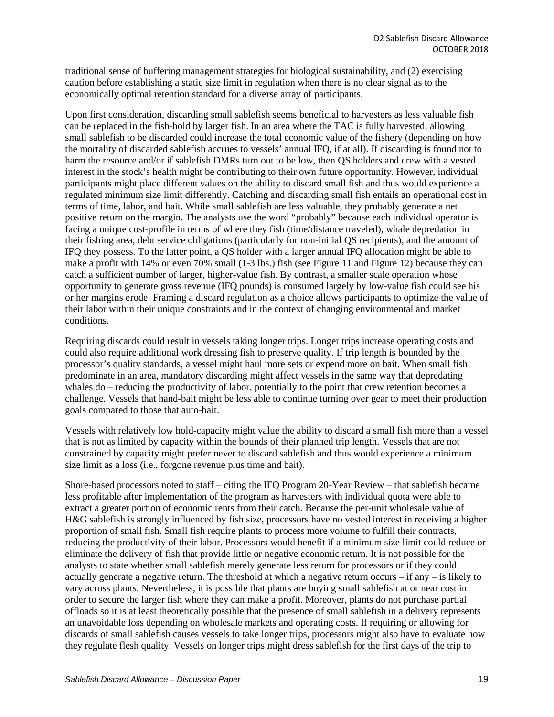traditional sense of buffering management strategies for biological sustainability, and (2) exercising caution before establishing a static size limit in regulation when there is no clear signal as to the economically optimal retention standard for a diverse array of participants.

Upon first consideration, discarding small sablefish seems beneficial to harvesters as less valuable fish can be replaced in the fish-hold by larger fish. In an area where the TAC is fully harvested, allowing small sablefish to be discarded could increase the total economic value of the fishery (depending on how the mortality of discarded sablefish accrues to vessels' annual IFQ, if at all). If discarding is found not to harm the resource and/or if sablefish DMRs turn out to be low, then QS holders and crew with a vested interest in the stock's health might be contributing to their own future opportunity. However, individual participants might place different values on the ability to discard small fish and thus would experience a regulated minimum size limit differently. Catching and discarding small fish entails an operational cost in terms of time, labor, and bait. While small sablefish are less valuable, they probably generate a net positive return on the margin. The analysts use the word "probably" because each individual operator is facing a unique cost-profile in terms of where they fish (time/distance traveled), whale depredation in their fishing area, debt service obligations (particularly for non-initial QS recipients), and the amount of IFQ they possess. To the latter point, a QS holder with a larger annual IFQ allocation might be able to make a profit with 14% or even 70% small (1-3 lbs.) fish (see [Figure 11](#page-16-0) and [Figure 12\)](#page-17-1) because they can catch a sufficient number of larger, higher-value fish. By contrast, a smaller scale operation whose opportunity to generate gross revenue (IFQ pounds) is consumed largely by low-value fish could see his or her margins erode. Framing a discard regulation as a choice allows participants to optimize the value of their labor within their unique constraints and in the context of changing environmental and market conditions.

Requiring discards could result in vessels taking longer trips. Longer trips increase operating costs and could also require additional work dressing fish to preserve quality. If trip length is bounded by the processor's quality standards, a vessel might haul more sets or expend more on bait. When small fish predominate in an area, mandatory discarding might affect vessels in the same way that depredating whales do – reducing the productivity of labor, potentially to the point that crew retention becomes a challenge. Vessels that hand-bait might be less able to continue turning over gear to meet their production goals compared to those that auto-bait.

Vessels with relatively low hold-capacity might value the ability to discard a small fish more than a vessel that is not as limited by capacity within the bounds of their planned trip length. Vessels that are not constrained by capacity might prefer never to discard sablefish and thus would experience a minimum size limit as a loss (i.e., forgone revenue plus time and bait).

Shore-based processors noted to staff – citing the IFQ Program 20-Year Review – that sablefish became less profitable after implementation of the program as harvesters with individual quota were able to extract a greater portion of economic rents from their catch. Because the per-unit wholesale value of H&G sablefish is strongly influenced by fish size, processors have no vested interest in receiving a higher proportion of small fish. Small fish require plants to process more volume to fulfill their contracts, reducing the productivity of their labor. Processors would benefit if a minimum size limit could reduce or eliminate the delivery of fish that provide little or negative economic return. It is not possible for the analysts to state whether small sablefish merely generate less return for processors or if they could actually generate a negative return. The threshold at which a negative return occurs – if any – is likely to vary across plants. Nevertheless, it is possible that plants are buying small sablefish at or near cost in order to secure the larger fish where they can make a profit. Moreover, plants do not purchase partial offloads so it is at least theoretically possible that the presence of small sablefish in a delivery represents an unavoidable loss depending on wholesale markets and operating costs. If requiring or allowing for discards of small sablefish causes vessels to take longer trips, processors might also have to evaluate how they regulate flesh quality. Vessels on longer trips might dress sablefish for the first days of the trip to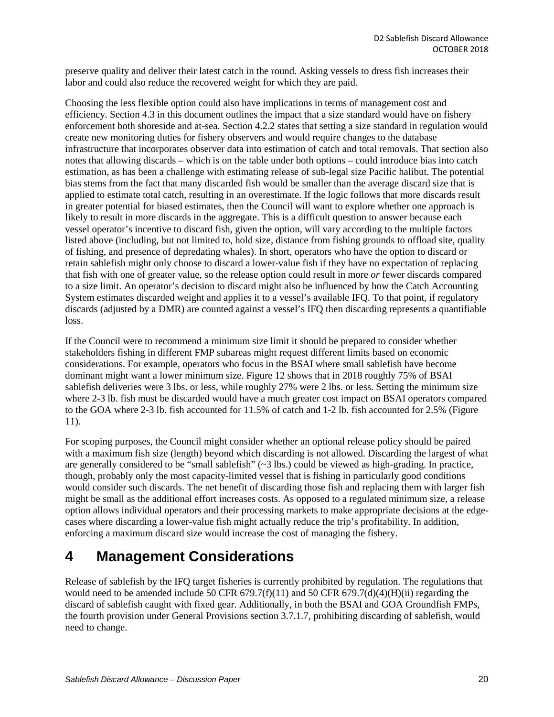preserve quality and deliver their latest catch in the round. Asking vessels to dress fish increases their labor and could also reduce the recovered weight for which they are paid.

Choosing the less flexible option could also have implications in terms of management cost and efficiency. Section [4.3](#page-23-0) in this document outlines the impact that a size standard would have on fishery enforcement both shoreside and at-sea. Section [4.2.2](#page-22-0) states that setting a size standard in regulation would create new monitoring duties for fishery observers and would require changes to the database infrastructure that incorporates observer data into estimation of catch and total removals. That section also notes that allowing discards – which is on the table under both options – could introduce bias into catch estimation, as has been a challenge with estimating release of sub-legal size Pacific halibut. The potential bias stems from the fact that many discarded fish would be smaller than the average discard size that is applied to estimate total catch, resulting in an overestimate. If the logic follows that more discards result in greater potential for biased estimates, then the Council will want to explore whether one approach is likely to result in more discards in the aggregate. This is a difficult question to answer because each vessel operator's incentive to discard fish, given the option, will vary according to the multiple factors listed above (including, but not limited to, hold size, distance from fishing grounds to offload site, quality of fishing, and presence of depredating whales). In short, operators who have the option to discard or retain sablefish might only choose to discard a lower-value fish if they have no expectation of replacing that fish with one of greater value, so the release option could result in more *or* fewer discards compared to a size limit. An operator's decision to discard might also be influenced by how the Catch Accounting System estimates discarded weight and applies it to a vessel's available IFQ. To that point, if regulatory discards (adjusted by a DMR) are counted against a vessel's IFQ then discarding represents a quantifiable loss.

If the Council were to recommend a minimum size limit it should be prepared to consider whether stakeholders fishing in different FMP subareas might request different limits based on economic considerations. For example, operators who focus in the BSAI where small sablefish have become dominant might want a lower minimum size. [Figure 12](#page-17-1) shows that in 2018 roughly 75% of BSAI sablefish deliveries were 3 lbs. or less, while roughly 27% were 2 lbs. or less. Setting the minimum size where 2-3 lb. fish must be discarded would have a much greater cost impact on BSAI operators compared to the GOA where 2-3 lb. fish accounted for 11.5% of catch and 1-2 lb. fish accounted for 2.5% [\(Figure](#page-16-0)  [11\)](#page-16-0).

For scoping purposes, the Council might consider whether an optional release policy should be paired with a maximum fish size (length) beyond which discarding is not allowed. Discarding the largest of what are generally considered to be "small sablefish" (~3 lbs.) could be viewed as high-grading. In practice, though, probably only the most capacity-limited vessel that is fishing in particularly good conditions would consider such discards. The net benefit of discarding those fish and replacing them with larger fish might be small as the additional effort increases costs. As opposed to a regulated minimum size, a release option allows individual operators and their processing markets to make appropriate decisions at the edgecases where discarding a lower-value fish might actually reduce the trip's profitability. In addition, enforcing a maximum discard size would increase the cost of managing the fishery.

## <span id="page-19-0"></span>**4 Management Considerations**

Release of sablefish by the IFQ target fisheries is currently prohibited by regulation. The regulations that would need to be amended include 50 CFR 679.7(f)(11) and 50 CFR 679.7(d)(4)(H)(ii) regarding the discard of sablefish caught with fixed gear. Additionally, in both the BSAI and GOA Groundfish FMPs, the fourth provision under General Provisions section 3.7.1.7, prohibiting discarding of sablefish, would need to change.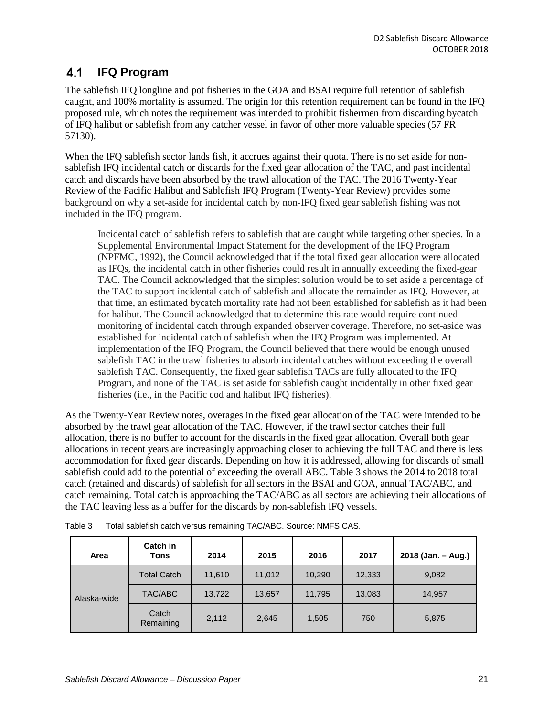#### <span id="page-20-0"></span> $4.1$ **IFQ Program**

The sablefish IFQ longline and pot fisheries in the GOA and BSAI require full retention of sablefish caught, and 100% mortality is assumed. The origin for this retention requirement can be found in the IFQ proposed rule, which notes the requirement was intended to prohibit fishermen from discarding bycatch of IFQ halibut or sablefish from any catcher vessel in favor of other more valuable species (57 FR 57130).

When the IFQ sablefish sector lands fish, it accrues against their quota. There is no set aside for nonsablefish IFQ incidental catch or discards for the fixed gear allocation of the TAC, and past incidental catch and discards have been absorbed by the trawl allocation of the TAC. The 2016 Twenty-Year Review of the Pacific Halibut and Sablefish IFQ Program (Twenty-Year Review) provides some background on why a set-aside for incidental catch by non-IFQ fixed gear sablefish fishing was not included in the IFQ program.

Incidental catch of sablefish refers to sablefish that are caught while targeting other species. In a Supplemental Environmental Impact Statement for the development of the IFQ Program (NPFMC, 1992), the Council acknowledged that if the total fixed gear allocation were allocated as IFQs, the incidental catch in other fisheries could result in annually exceeding the fixed-gear TAC. The Council acknowledged that the simplest solution would be to set aside a percentage of the TAC to support incidental catch of sablefish and allocate the remainder as IFQ. However, at that time, an estimated bycatch mortality rate had not been established for sablefish as it had been for halibut. The Council acknowledged that to determine this rate would require continued monitoring of incidental catch through expanded observer coverage. Therefore, no set-aside was established for incidental catch of sablefish when the IFQ Program was implemented. At implementation of the IFQ Program, the Council believed that there would be enough unused sablefish TAC in the trawl fisheries to absorb incidental catches without exceeding the overall sablefish TAC. Consequently, the fixed gear sablefish TACs are fully allocated to the IFQ Program, and none of the TAC is set aside for sablefish caught incidentally in other fixed gear fisheries (i.e., in the Pacific cod and halibut IFQ fisheries).

As the Twenty-Year Review notes, overages in the fixed gear allocation of the TAC were intended to be absorbed by the trawl gear allocation of the TAC. However, if the trawl sector catches their full allocation, there is no buffer to account for the discards in the fixed gear allocation. Overall both gear allocations in recent years are increasingly approaching closer to achieving the full TAC and there is less accommodation for fixed gear discards. Depending on how it is addressed, allowing for discards of small sablefish could add to the potential of exceeding the overall ABC. [Table 3](#page-20-1) shows the 2014 to 2018 total catch (retained and discards) of sablefish for all sectors in the BSAI and GOA, annual TAC/ABC, and catch remaining. Total catch is approaching the TAC/ABC as all sectors are achieving their allocations of the TAC leaving less as a buffer for the discards by non-sablefish IFQ vessels.

| Area        | Catch in<br>Tons   | 2014   | 2015   | 2016   | 2017   | 2018 (Jan. - Aug.) |
|-------------|--------------------|--------|--------|--------|--------|--------------------|
|             | <b>Total Catch</b> | 11,610 | 11,012 | 10,290 | 12,333 | 9,082              |
| Alaska-wide | TAC/ABC            | 13,722 | 13,657 | 11,795 | 13,083 | 14,957             |
|             | Catch<br>Remaining | 2,112  | 2,645  | 1,505  | 750    | 5,875              |

<span id="page-20-1"></span>

| Table 3 | Total sablefish catch versus remaining TAC/ABC. Source: NMFS CAS. |  |  |
|---------|-------------------------------------------------------------------|--|--|
|---------|-------------------------------------------------------------------|--|--|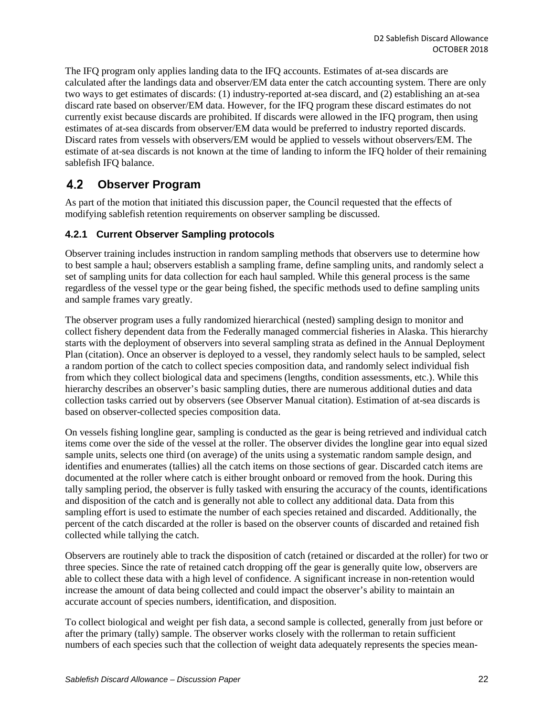The IFQ program only applies landing data to the IFQ accounts. Estimates of at-sea discards are calculated after the landings data and observer/EM data enter the catch accounting system. There are only two ways to get estimates of discards: (1) industry-reported at-sea discard, and (2) establishing an at-sea discard rate based on observer/EM data. However, for the IFQ program these discard estimates do not currently exist because discards are prohibited. If discards were allowed in the IFQ program, then using estimates of at-sea discards from observer/EM data would be preferred to industry reported discards. Discard rates from vessels with observers/EM would be applied to vessels without observers/EM. The estimate of at-sea discards is not known at the time of landing to inform the IFQ holder of their remaining sablefish IFQ balance.

#### <span id="page-21-0"></span> $4.2$ **Observer Program**

As part of the motion that initiated this discussion paper, the Council requested that the effects of modifying sablefish retention requirements on observer sampling be discussed.

## <span id="page-21-1"></span>**4.2.1 Current Observer Sampling protocols**

Observer training includes instruction in random sampling methods that observers use to determine how to best sample a haul; observers establish a sampling frame, define sampling units, and randomly select a set of sampling units for data collection for each haul sampled. While this general process is the same regardless of the vessel type or the gear being fished, the specific methods used to define sampling units and sample frames vary greatly.

The observer program uses a fully randomized hierarchical (nested) sampling design to monitor and collect fishery dependent data from the Federally managed commercial fisheries in Alaska. This hierarchy starts with the deployment of observers into several sampling strata as defined in the Annual Deployment Plan (citation). Once an observer is deployed to a vessel, they randomly select hauls to be sampled, select a random portion of the catch to collect species composition data, and randomly select individual fish from which they collect biological data and specimens (lengths, condition assessments, etc.). While this hierarchy describes an observer's basic sampling duties, there are numerous additional duties and data collection tasks carried out by observers (see Observer Manual citation). Estimation of at-sea discards is based on observer-collected species composition data.

On vessels fishing longline gear, sampling is conducted as the gear is being retrieved and individual catch items come over the side of the vessel at the roller. The observer divides the longline gear into equal sized sample units, selects one third (on average) of the units using a systematic random sample design, and identifies and enumerates (tallies) all the catch items on those sections of gear. Discarded catch items are documented at the roller where catch is either brought onboard or removed from the hook. During this tally sampling period, the observer is fully tasked with ensuring the accuracy of the counts, identifications and disposition of the catch and is generally not able to collect any additional data. Data from this sampling effort is used to estimate the number of each species retained and discarded. Additionally, the percent of the catch discarded at the roller is based on the observer counts of discarded and retained fish collected while tallying the catch.

Observers are routinely able to track the disposition of catch (retained or discarded at the roller) for two or three species. Since the rate of retained catch dropping off the gear is generally quite low, observers are able to collect these data with a high level of confidence. A significant increase in non-retention would increase the amount of data being collected and could impact the observer's ability to maintain an accurate account of species numbers, identification, and disposition.

To collect biological and weight per fish data, a second sample is collected, generally from just before or after the primary (tally) sample. The observer works closely with the rollerman to retain sufficient numbers of each species such that the collection of weight data adequately represents the species mean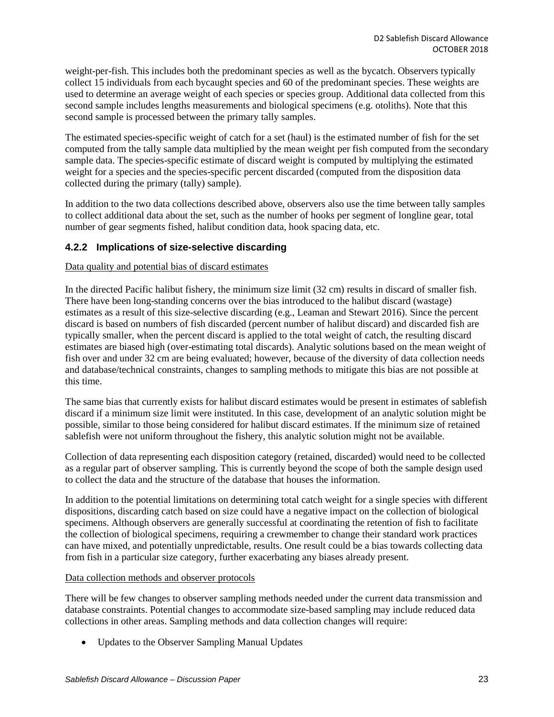weight-per-fish. This includes both the predominant species as well as the bycatch. Observers typically collect 15 individuals from each bycaught species and 60 of the predominant species. These weights are used to determine an average weight of each species or species group. Additional data collected from this second sample includes lengths measurements and biological specimens (e.g. otoliths). Note that this second sample is processed between the primary tally samples.

The estimated species-specific weight of catch for a set (haul) is the estimated number of fish for the set computed from the tally sample data multiplied by the mean weight per fish computed from the secondary sample data. The species-specific estimate of discard weight is computed by multiplying the estimated weight for a species and the species-specific percent discarded (computed from the disposition data collected during the primary (tally) sample).

In addition to the two data collections described above, observers also use the time between tally samples to collect additional data about the set, such as the number of hooks per segment of longline gear, total number of gear segments fished, halibut condition data, hook spacing data, etc.

## <span id="page-22-0"></span>**4.2.2 Implications of size-selective discarding**

Data quality and potential bias of discard estimates

In the directed Pacific halibut fishery, the minimum size limit (32 cm) results in discard of smaller fish. There have been long-standing concerns over the bias introduced to the halibut discard (wastage) estimates as a result of this size-selective discarding (e.g., Leaman and Stewart 2016). Since the percent discard is based on numbers of fish discarded (percent number of halibut discard) and discarded fish are typically smaller, when the percent discard is applied to the total weight of catch, the resulting discard estimates are biased high (over-estimating total discards). Analytic solutions based on the mean weight of fish over and under 32 cm are being evaluated; however, because of the diversity of data collection needs and database/technical constraints, changes to sampling methods to mitigate this bias are not possible at this time.

The same bias that currently exists for halibut discard estimates would be present in estimates of sablefish discard if a minimum size limit were instituted. In this case, development of an analytic solution might be possible, similar to those being considered for halibut discard estimates. If the minimum size of retained sablefish were not uniform throughout the fishery, this analytic solution might not be available.

Collection of data representing each disposition category (retained, discarded) would need to be collected as a regular part of observer sampling. This is currently beyond the scope of both the sample design used to collect the data and the structure of the database that houses the information.

In addition to the potential limitations on determining total catch weight for a single species with different dispositions, discarding catch based on size could have a negative impact on the collection of biological specimens. Although observers are generally successful at coordinating the retention of fish to facilitate the collection of biological specimens, requiring a crewmember to change their standard work practices can have mixed, and potentially unpredictable, results. One result could be a bias towards collecting data from fish in a particular size category, further exacerbating any biases already present.

### Data collection methods and observer protocols

There will be few changes to observer sampling methods needed under the current data transmission and database constraints. Potential changes to accommodate size-based sampling may include reduced data collections in other areas. Sampling methods and data collection changes will require:

• Updates to the Observer Sampling Manual Updates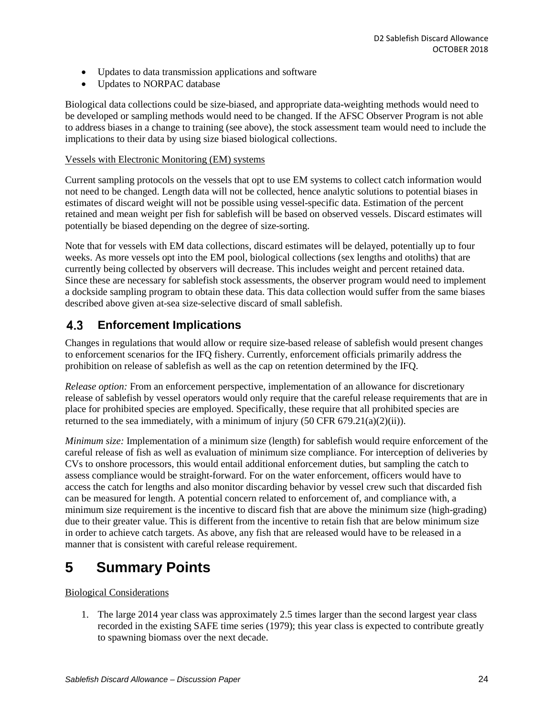- Updates to data transmission applications and software
- Updates to NORPAC database

Biological data collections could be size-biased, and appropriate data-weighting methods would need to be developed or sampling methods would need to be changed. If the AFSC Observer Program is not able to address biases in a change to training (see above), the stock assessment team would need to include the implications to their data by using size biased biological collections.

### Vessels with Electronic Monitoring (EM) systems

Current sampling protocols on the vessels that opt to use EM systems to collect catch information would not need to be changed. Length data will not be collected, hence analytic solutions to potential biases in estimates of discard weight will not be possible using vessel-specific data. Estimation of the percent retained and mean weight per fish for sablefish will be based on observed vessels. Discard estimates will potentially be biased depending on the degree of size-sorting.

Note that for vessels with EM data collections, discard estimates will be delayed, potentially up to four weeks. As more vessels opt into the EM pool, biological collections (sex lengths and otoliths) that are currently being collected by observers will decrease. This includes weight and percent retained data. Since these are necessary for sablefish stock assessments, the observer program would need to implement a dockside sampling program to obtain these data. This data collection would suffer from the same biases described above given at-sea size-selective discard of small sablefish.

#### <span id="page-23-0"></span> $4.3$ **Enforcement Implications**

Changes in regulations that would allow or require size-based release of sablefish would present changes to enforcement scenarios for the IFQ fishery. Currently, enforcement officials primarily address the prohibition on release of sablefish as well as the cap on retention determined by the IFQ.

*Release option:* From an enforcement perspective, implementation of an allowance for discretionary release of sablefish by vessel operators would only require that the careful release requirements that are in place for prohibited species are employed. Specifically, these require that all prohibited species are returned to the sea immediately, with a minimum of injury  $(50 \text{ CFR } 679.21(a)(2)(ii))$ .

*Minimum size:* Implementation of a minimum size (length) for sablefish would require enforcement of the careful release of fish as well as evaluation of minimum size compliance. For interception of deliveries by CVs to onshore processors, this would entail additional enforcement duties, but sampling the catch to assess compliance would be straight-forward. For on the water enforcement, officers would have to access the catch for lengths and also monitor discarding behavior by vessel crew such that discarded fish can be measured for length. A potential concern related to enforcement of, and compliance with, a minimum size requirement is the incentive to discard fish that are above the minimum size (high-grading) due to their greater value. This is different from the incentive to retain fish that are below minimum size in order to achieve catch targets. As above, any fish that are released would have to be released in a manner that is consistent with careful release requirement.

## <span id="page-23-1"></span>**5 Summary Points**

## Biological Considerations

1. The large 2014 year class was approximately 2.5 times larger than the second largest year class recorded in the existing SAFE time series (1979); this year class is expected to contribute greatly to spawning biomass over the next decade.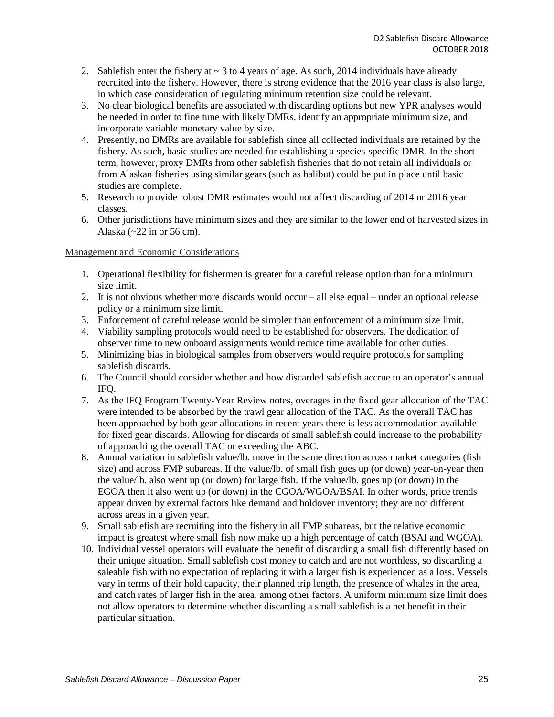- 2. Sablefish enter the fishery at  $\sim$  3 to 4 years of age. As such, 2014 individuals have already recruited into the fishery. However, there is strong evidence that the 2016 year class is also large, in which case consideration of regulating minimum retention size could be relevant.
- 3. No clear biological benefits are associated with discarding options but new YPR analyses would be needed in order to fine tune with likely DMRs, identify an appropriate minimum size, and incorporate variable monetary value by size.
- 4. Presently, no DMRs are available for sablefish since all collected individuals are retained by the fishery. As such, basic studies are needed for establishing a species-specific DMR. In the short term, however, proxy DMRs from other sablefish fisheries that do not retain all individuals or from Alaskan fisheries using similar gears (such as halibut) could be put in place until basic studies are complete.
- 5. Research to provide robust DMR estimates would not affect discarding of 2014 or 2016 year classes.
- 6. Other jurisdictions have minimum sizes and they are similar to the lower end of harvested sizes in Alaska (~22 in or 56 cm).

### Management and Economic Considerations

- 1. Operational flexibility for fishermen is greater for a careful release option than for a minimum size limit.
- 2. It is not obvious whether more discards would occur all else equal under an optional release policy or a minimum size limit.
- 3. Enforcement of careful release would be simpler than enforcement of a minimum size limit.
- 4. Viability sampling protocols would need to be established for observers. The dedication of observer time to new onboard assignments would reduce time available for other duties.
- 5. Minimizing bias in biological samples from observers would require protocols for sampling sablefish discards.
- 6. The Council should consider whether and how discarded sablefish accrue to an operator's annual IFQ.
- 7. As the IFQ Program Twenty-Year Review notes, overages in the fixed gear allocation of the TAC were intended to be absorbed by the trawl gear allocation of the TAC. As the overall TAC has been approached by both gear allocations in recent years there is less accommodation available for fixed gear discards. Allowing for discards of small sablefish could increase to the probability of approaching the overall TAC or exceeding the ABC.
- 8. Annual variation in sablefish value/lb. move in the same direction across market categories (fish size) and across FMP subareas. If the value/lb. of small fish goes up (or down) year-on-year then the value/lb. also went up (or down) for large fish. If the value/lb. goes up (or down) in the EGOA then it also went up (or down) in the CGOA/WGOA/BSAI. In other words, price trends appear driven by external factors like demand and holdover inventory; they are not different across areas in a given year.
- 9. Small sablefish are recruiting into the fishery in all FMP subareas, but the relative economic impact is greatest where small fish now make up a high percentage of catch (BSAI and WGOA).
- 10. Individual vessel operators will evaluate the benefit of discarding a small fish differently based on their unique situation. Small sablefish cost money to catch and are not worthless, so discarding a saleable fish with no expectation of replacing it with a larger fish is experienced as a loss. Vessels vary in terms of their hold capacity, their planned trip length, the presence of whales in the area, and catch rates of larger fish in the area, among other factors. A uniform minimum size limit does not allow operators to determine whether discarding a small sablefish is a net benefit in their particular situation.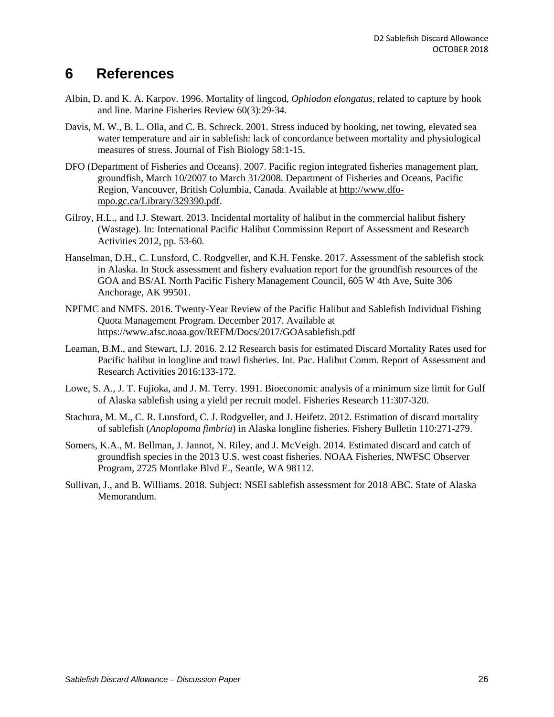## <span id="page-25-0"></span>**6 References**

- Albin, D. and K. A. Karpov. 1996. Mortality of lingcod, *Ophiodon elongatus*, related to capture by hook and line. Marine Fisheries Review 60(3):29-34.
- Davis, M. W., B. L. Olla, and C. B. Schreck. 2001. Stress induced by hooking, net towing, elevated sea water temperature and air in sablefish: lack of concordance between mortality and physiological measures of stress. Journal of Fish Biology 58:1-15.
- DFO (Department of Fisheries and Oceans). 2007. Pacific region integrated fisheries management plan, groundfish, March 10/2007 to March 31/2008. Department of Fisheries and Oceans, Pacific Region, Vancouver, British Columbia, Canada. Available at [http://www.dfo](http://www.dfo-mpo.gc.ca/Library/329390.pdf)[mpo.gc.ca/Library/329390.pdf.](http://www.dfo-mpo.gc.ca/Library/329390.pdf)
- Gilroy, H.L., and I.J. Stewart. 2013. Incidental mortality of halibut in the commercial halibut fishery (Wastage). In: International Pacific Halibut Commission Report of Assessment and Research Activities 2012, pp. 53-60.
- Hanselman, D.H., C. Lunsford, C. Rodgveller, and K.H. Fenske. 2017. Assessment of the sablefish stock in Alaska. In Stock assessment and fishery evaluation report for the groundfish resources of the GOA and BS/AI. North Pacific Fishery Management Council, 605 W 4th Ave, Suite 306 Anchorage, AK 99501.
- NPFMC and NMFS. 2016. Twenty-Year Review of the Pacific Halibut and Sablefish Individual Fishing Quota Management Program. December 2017. Available at https://www.afsc.noaa.gov/REFM/Docs/2017/GOAsablefish.pdf
- Leaman, B.M., and Stewart, I.J. 2016. 2.12 Research basis for estimated Discard Mortality Rates used for Pacific halibut in longline and trawl fisheries. Int. Pac. Halibut Comm. Report of Assessment and Research Activities 2016:133-172.
- Lowe, S. A., J. T. Fujioka, and J. M. Terry. 1991. Bioeconomic analysis of a minimum size limit for Gulf of Alaska sablefish using a yield per recruit model. Fisheries Research 11:307-320.
- Stachura, M. M., C. R. Lunsford, C. J. Rodgveller, and J. Heifetz. 2012. Estimation of discard mortality of sablefish (*Anoplopoma fimbria*) in Alaska longline fisheries. Fishery Bulletin 110:271-279.
- Somers, K.A., M. Bellman, J. Jannot, N. Riley, and J. McVeigh. 2014. Estimated discard and catch of groundfish species in the 2013 U.S. west coast fisheries. NOAA Fisheries, NWFSC Observer Program, 2725 Montlake Blvd E., Seattle, WA 98112.
- Sullivan, J., and B. Williams. 2018. Subject: NSEI sablefish assessment for 2018 ABC. State of Alaska Memorandum.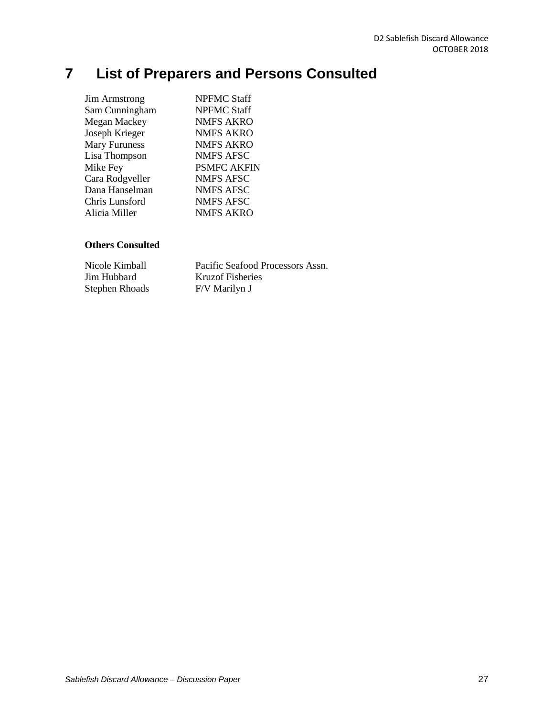# <span id="page-26-0"></span>**7 List of Preparers and Persons Consulted**

| <b>Jim Armstrong</b> | <b>NPFMC Staff</b> |
|----------------------|--------------------|
| Sam Cunningham       | <b>NPFMC Staff</b> |
| Megan Mackey         | <b>NMFS AKRO</b>   |
| Joseph Krieger       | <b>NMFS AKRO</b>   |
| <b>Mary Furuness</b> | <b>NMFS AKRO</b>   |
| Lisa Thompson        | NMFS AFSC          |
| Mike Fey             | <b>PSMFC AKFIN</b> |
| Cara Rodgveller      | NMFS AFSC          |
| Dana Hanselman       | NMFS AFSC          |
| Chris Lunsford       | <b>NMFS AFSC</b>   |
| Alicia Miller        | <b>NMFS AKRO</b>   |
|                      |                    |

## **Others Consulted**

| Nicole Kimball        | Pacific Seafood Processors Assn. |
|-----------------------|----------------------------------|
| Jim Hubbard           | <b>Kruzof Fisheries</b>          |
| <b>Stephen Rhoads</b> | F/V Marilyn J                    |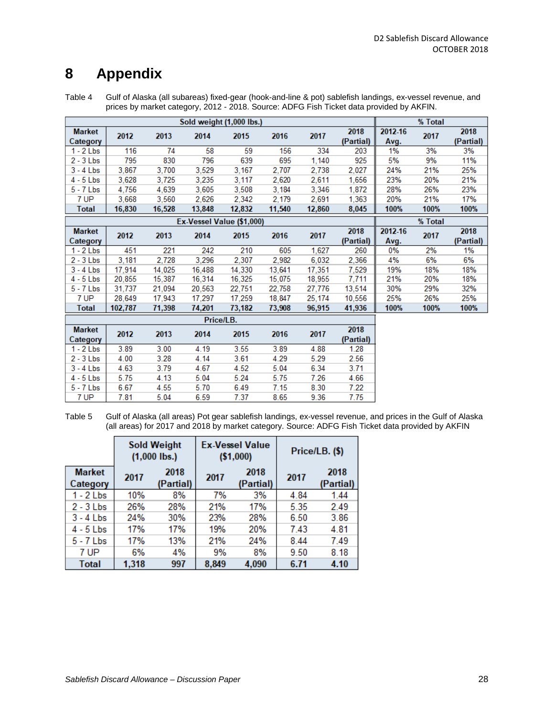## <span id="page-27-0"></span>**8 Appendix**

<span id="page-27-1"></span>Table 4 Gulf of Alaska (all subareas) fixed-gear (hook-and-line & pot) sablefish landings, ex-vessel revenue, and prices by market category, 2012 - 2018. Source: ADFG Fish Ticket data provided by AKFIN.

|                           |         |        |           | Sold weight (1,000 lbs.)  |        |        |                   |                 | % Total |                   |
|---------------------------|---------|--------|-----------|---------------------------|--------|--------|-------------------|-----------------|---------|-------------------|
| <b>Market</b><br>Category | 2012    | 2013   | 2014      | 2015                      | 2016   | 2017   | 2018<br>(Partial) | 2012-16<br>Avg. | 2017    | 2018<br>(Partial) |
| $1 - 2$ Lbs               | 116     | 74     | 58        | 59                        | 156    | 334    | 203               | 1%              | 3%      | 3%                |
| $2 - 3$ Lbs               | 795     | 830    | 796       | 639                       | 695    | 1,140  | 925               | 5%              | 9%      | 11%               |
| $3 - 4$ Lbs               | 3,867   | 3.700  | 3,529     | 3.167                     | 2,707  | 2,738  | 2.027             | 24%             | 21%     | 25%               |
| $4 - 5$ Lbs               | 3.628   | 3.725  | 3.235     | 3.117                     | 2.620  | 2.611  | 1.656             | 23%             | 20%     | 21%               |
| $5 - 7$ Lbs               | 4,756   | 4,639  | 3,605     | 3,508                     | 3.184  | 3,346  | 1,872             | 28%             | 26%     | 23%               |
| 7 UP                      | 3.668   | 3.560  | 2.626     | 2.342                     | 2.179  | 2.691  | 1.363             | 20%             | 21%     | 17%               |
| <b>Total</b>              | 16,830  | 16,528 | 13,848    | 12,832                    | 11,540 | 12,860 | 8,045             | 100%            | 100%    | 100%              |
|                           |         |        |           | Ex-Vessel Value (\$1,000) |        |        |                   |                 | % Total |                   |
| <b>Market</b>             | 2012    | 2013   | 2014      | 2015                      | 2016   | 2017   | 2018              | 2012-16         | 2017    | 2018              |
| Category                  |         |        |           |                           |        |        | (Partial)         | Avg.            |         | (Partial)         |
| $1 - 2$ Lbs               | 451     | 221    | 242       | 210                       | 605    | 1,627  | 260               | 0%              | 2%      | 1%                |
| $2 - 3$ Lbs               | 3,181   | 2,728  | 3,296     | 2,307                     | 2,982  | 6,032  | 2,366             | 4%              | 6%      | 6%                |
| $3 - 4$ Lbs               | 17.914  | 14.025 | 16.488    | 14.330                    | 13.641 | 17,351 | 7,529             | 19%             | 18%     | 18%               |
| $4 - 5$ Lbs               | 20,855  | 15,387 | 16,314    | 16,325                    | 15.075 | 18,955 | 7.711             | 21%             | 20%     | 18%               |
| $5 - 7$ Lbs               | 31,737  | 21,094 | 20,563    | 22.751                    | 22,758 | 27,776 | 13,514            | 30%             | 29%     | 32%               |
| 7 UP                      | 28.649  | 17.943 | 17,297    | 17.259                    | 18.847 | 25,174 | 10,556            | 25%             | 26%     | 25%               |
| <b>Total</b>              | 102,787 | 71,398 | 74,201    | 73,182                    | 73,908 | 96,915 | 41,936            | 100%            | 100%    | 100%              |
|                           |         |        | Price/LB. |                           |        |        |                   |                 |         |                   |
| <b>Market</b>             | 2012    | 2013   | 2014      | 2015                      | 2016   | 2017   | 2018              |                 |         |                   |
| Category                  |         |        |           |                           |        |        | (Partial)         |                 |         |                   |
| $1 - 2$ Lbs               | 3.89    | 3.00   | 4.19      | 3.55                      | 3.89   | 4.88   | 1.28              |                 |         |                   |
| $2 - 3$ Lbs               | 4.00    | 3.28   | 4.14      | 3.61                      | 4.29   | 5.29   | 2.56              |                 |         |                   |
| $3 - 4$ Lbs               | 4.63    | 3.79   | 4.67      | 4.52                      | 5.04   | 6.34   | 3.71              |                 |         |                   |
| $4 - 5$ Lbs               | 5.75    | 4.13   | 5.04      | 5.24                      | 5.75   | 7.26   | 4.66              |                 |         |                   |
| $5 - 7$ Lbs               | 6.67    | 4.55   | 5.70      | 6.49                      | 7.15   | 8.30   | 7.22              |                 |         |                   |
| 7 UP                      | 7.81    | 5.04   | 6.59      | 7.37                      | 8.65   | 9.36   | 7.75              |                 |         |                   |

Table 5 Gulf of Alaska (all areas) Pot gear sablefish landings, ex-vessel revenue, and prices in the Gulf of Alaska (all areas) for 2017 and 2018 by market category. Source: ADFG Fish Ticket data provided by AKFIN

|                           | <b>Sold Weight</b><br>$(1,000$ lbs.) |     |       | <b>Ex-Vessel Value</b><br>( \$1,000) | Price/LB. (\$) |                   |  |
|---------------------------|--------------------------------------|-----|-------|--------------------------------------|----------------|-------------------|--|
| <b>Market</b><br>Category | 2018<br>2017<br>(Partial)            |     | 2017  | 2018<br>(Partial)                    | 2017           | 2018<br>(Partial) |  |
| 1 - 2 Lbs                 | 10%                                  | 8%  | 7%    | 3%                                   | 4.84           | 1.44              |  |
| $2 - 3$ Lbs               | 26%                                  | 28% | 21%   | 17%                                  | 5.35           | 2.49              |  |
| $3 - 4$ Lbs               | 24%                                  | 30% | 23%   | 28%                                  | 6.50           | 3.86              |  |
| $4 - 5$ Lbs               | 17%                                  | 17% | 19%   | 20%                                  | 7.43           | 4.81              |  |
| $5 - 7$ Lbs               | 17%                                  | 13% | 21%   | 24%                                  | 8.44           | 7.49              |  |
| 7 UP                      | 6%                                   | 4%  | 9%    | 8%                                   | 9.50           | 8.18              |  |
| Total                     | 1,318                                | 997 | 8,849 | 4,090                                | 6.71           | 4.10              |  |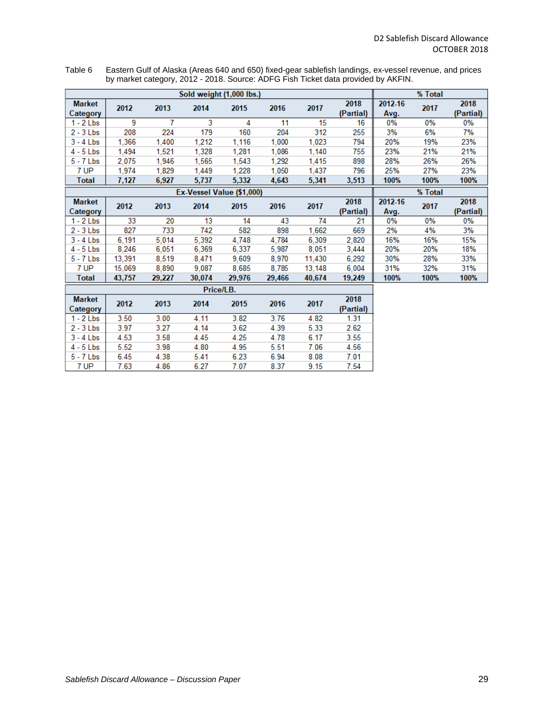<span id="page-28-0"></span>Table 6 Eastern Gulf of Alaska (Areas 640 and 650) fixed-gear sablefish landings, ex-vessel revenue, and prices by market category, 2012 - 2018. Source: ADFG Fish Ticket data provided by AKFIN.

|                           | Sold weight (1,000 lbs.) |        |                           |        |        |        |                   |                 |         |                   |
|---------------------------|--------------------------|--------|---------------------------|--------|--------|--------|-------------------|-----------------|---------|-------------------|
| <b>Market</b><br>Category | 2012                     | 2013   | 2014                      | 2015   | 2016   | 2017   | 2018<br>(Partial) | 2012-16<br>Avg. | 2017    | 2018<br>(Partial) |
| $1 - 2$ Lbs               | 9                        | 7      | 3                         | 4      | 11     | 15     | 16                | 0%              | 0%      | 0%                |
| $2 - 3$ Lbs               | 208                      | 224    | 179                       | 160    | 204    | 312    | 255               | 3%              | 6%      | 7%                |
| $3 - 4$ Lbs               | 1,366                    | 1,400  | 1,212                     | 1,116  | 1,000  | 1,023  | 794               | 20%             | 19%     | 23%               |
| $4 - 5$ Lbs               | 1,494                    | 1,521  | 1,328                     | 1,281  | 1,086  | 1,140  | 755               | 23%             | 21%     | 21%               |
| $5 - 7$ Lbs               | 2,075                    | 1,946  | 1,565                     | 1,543  | 1,292  | 1,415  | 898               | 28%             | 26%     | 26%               |
| 7 UP                      | 1,974                    | 1,829  | 1,449                     | 1,228  | 1.050  | 1,437  | 796               | 25%             | 27%     | 23%               |
| <b>Total</b>              | 7,127                    | 6,927  | 5,737                     | 5,332  | 4,643  | 5,341  | 3,513             | 100%            | 100%    | 100%              |
|                           |                          |        | Ex-Vessel Value (\$1,000) |        |        |        |                   |                 | % Total |                   |
| <b>Market</b><br>Category | 2012                     | 2013   | 2014                      | 2015   | 2016   | 2017   | 2018<br>(Partial) | 2012-16<br>Avg. | 2017    | 2018<br>(Partial) |
| $1 - 2$ Lbs               | 33                       | 20     | 13                        | 14     | 43     | 74     | 21                | 0%              | $0\%$   | 0%                |
| $2 - 3$ Lbs               | 827                      | 733    | 742                       | 582    | 898    | 1,662  | 669               | 2%              | 4%      | 3%                |
| $3 - 4$ Lbs               | 6,191                    | 5,014  | 5,392                     | 4,748  | 4,784  | 6,309  | 2,820             | 16%             | 16%     | 15%               |
| $4 - 5$ Lbs               | 8,246                    | 6,051  | 6,369                     | 6,337  | 5,987  | 8,051  | 3,444             | 20%             | 20%     | 18%               |
| $5 - 7$ Lbs               | 13,391                   | 8,519  | 8,471                     | 9,609  | 8,970  | 11,430 | 6,292             | 30%             | 28%     | 33%               |
| 7 UP                      | 15,069                   | 8,890  | 9,087                     | 8,685  | 8,785  | 13,148 | 6,004             | 31%             | 32%     | 31%               |
| <b>Total</b>              | 43,757                   | 29,227 | 30,074                    | 29,976 | 29,466 | 40,674 | 19,249            | 100%            | 100%    | 100%              |
|                           |                          |        | Price/LB.                 |        |        |        |                   |                 |         |                   |
| <b>Market</b><br>Category | 2012                     | 2013   | 2014                      | 2015   | 2016   | 2017   | 2018<br>(Partial) |                 |         |                   |
| $1 - 2$ Lbs               | 3.50                     | 3.00   | 4.11                      | 3.82   | 3.76   | 4.82   | 1.31              |                 |         |                   |
| $2 - 3$ Lbs               | 3.97                     | 3.27   | 4.14                      | 3.62   | 4.39   | 5.33   | 2.62              |                 |         |                   |
| $3 - 4$ Lbs               | 4.53                     | 3.58   | 4.45                      | 4.25   | 4.78   | 6.17   | 3.55              |                 |         |                   |

5.51

6.94

8.37

7.06

8.08

 $9.15$ 

4.56

 $7.01$ 

7.54

 $4$  -  $5\;{\rm Lbs}$ 

 $5$  -  $7$  Lbs

7 UP

5.52

6.45

7.63

3.98

4.38

4.86

4.80

5.41

 $6.27$ 

4.95

6.23

7.07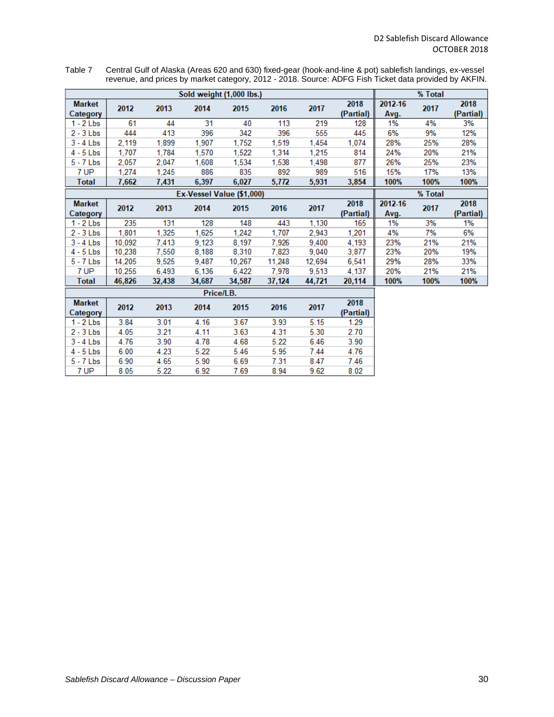<span id="page-29-0"></span>Table 7 Central Gulf of Alaska (Areas 620 and 630) fixed-gear (hook-and-line & pot) sablefish landings, ex-vessel revenue, and prices by market category, 2012 - 2018. Source: ADFG Fish Ticket data provided by AKFIN.

|                           | Sold weight (1,000 lbs.) |        |                           |        |        |        |                   |                 | % Total |                   |
|---------------------------|--------------------------|--------|---------------------------|--------|--------|--------|-------------------|-----------------|---------|-------------------|
| <b>Market</b><br>Category | 2012                     | 2013   | 2014                      | 2015   | 2016   | 2017   | 2018<br>(Partial) | 2012-16<br>Avg. | 2017    | 2018<br>(Partial) |
| $1 - 2$ Lbs               | 61                       | 44     | 31                        | 40     | 113    | 219    | 128               | 1%              | 4%      | 3%                |
| $2 - 3$ Lbs               | 444                      | 413    | 396                       | 342    | 396    | 555    | 445               | 6%              | 9%      | 12%               |
| $3 - 4$ Lbs               | 2,119                    | 1,899  | 1,907                     | 1,752  | 1,519  | 1,454  | 1,074             | 28%             | 25%     | 28%               |
| $4 - 5$ Lbs               | 1,707                    | 1.784  | 1.570                     | 1,522  | 1,314  | 1,215  | 814               | 24%             | 20%     | 21%               |
| $5 - 7$ Lbs               | 2,057                    | 2.047  | 1,608                     | 1,534  | 1,538  | 1,498  | 877               | 26%             | 25%     | 23%               |
| 7 UP                      | 1,274                    | 1,245  | 886                       | 835    | 892    | 989    | 516               | 15%             | 17%     | 13%               |
| <b>Total</b>              | 7,662                    | 7,431  | 6,397                     | 6,027  | 5,772  | 5,931  | 3,854             | 100%            | 100%    | 100%              |
|                           |                          |        | Ex-Vessel Value (\$1,000) |        |        |        |                   |                 | % Total |                   |
| <b>Market</b><br>Category | 2012                     | 2013   | 2014                      | 2015   | 2016   | 2017   | 2018<br>(Partial) | 2012-16<br>Avg. | 2017    | 2018<br>(Partial) |
| $1 - 2$ Lbs               | 235                      | 131    | 128                       | 148    | 443    | 1,130  | 165               | 1%              | 3%      | 1%                |
| $2 - 3$ Lbs               | 1,801                    | 1,325  | 1,625                     | 1,242  | 1,707  | 2,943  | 1,201             | 4%              | 7%      | 6%                |
| $3 - 4$ Lbs               | 10,092                   | 7.413  | 9,123                     | 8,197  | 7,926  | 9,400  | 4,193             | 23%             | 21%     | 21%               |
| $4 - 5$ Lbs               | 10,238                   | 7.550  | 8,188                     | 8,310  | 7,823  | 9,040  | 3,877             | 23%             | 20%     | 19%               |
| $5 - 7$ Lbs               | 14,205                   | 9,525  | 9,487                     | 10,267 | 11.248 | 12,694 | 6,541             | 29%             | 28%     | 33%               |
| 7 UP                      | 10.255                   | 6,493  | 6.136                     | 6.422  | 7.978  | 9.513  | 4.137             | 20%             | 21%     | 21%               |
| <b>Total</b>              | 46,826                   | 32,438 | 34.687                    | 34,587 | 37,124 | 44,721 | 20,114            | 100%            | 100%    | 100%              |
|                           |                          |        | Price/LB.                 |        |        |        |                   |                 |         |                   |
| <b>Market</b><br>Category | 2012                     | 2013   | 2014                      | 2015   | 2016   | 2017   | 2018<br>(Partial) |                 |         |                   |
| $1 - 2$ Lbs               | 3.84                     | 3.01   | 4.16                      | 3.67   | 3.93   | 5.15   | 1.29              |                 |         |                   |
| $2 - 3$ Lbs               | 4.05                     | 3.21   | 4.11                      | 3.63   | 4.31   | 5.30   | 2.70              |                 |         |                   |
| $3 - 4$ Lbs               | 4.76                     | 3.90   | 4.78                      | 4.68   | 5.22   | 6.46   | 3.90              |                 |         |                   |
| $4 - 5$ Lbs               | 6.00                     | 4.23   | 5.22                      | 5.46   | 5.95   | 7.44   | 4.76              |                 |         |                   |
| 5 - 7 Lbs                 | 6.90                     | 4.65   | 5.90                      | 6.69   | 7.31   | 8.47   | 7.46              |                 |         |                   |

8.94

 $9.62$ 

8.02

7 UP

8.05

 $5.22$ 

6.92

7.69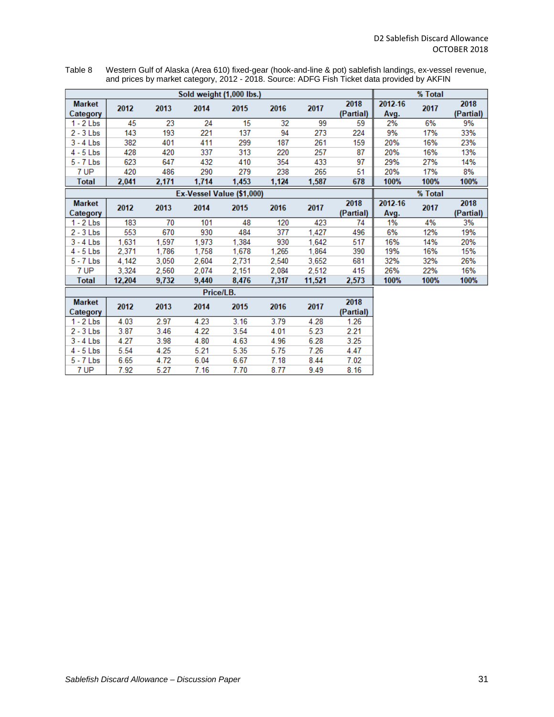<span id="page-30-0"></span>Table 8 Western Gulf of Alaska (Area 610) fixed-gear (hook-and-line & pot) sablefish landings, ex-vessel revenue, and prices by market category, 2012 - 2018. Source: ADFG Fish Ticket data provided by AKFIN

| Sold weight (1,000 lbs.)  |              |              |              |              |              |              |                   |                 | % Total   |                   |
|---------------------------|--------------|--------------|--------------|--------------|--------------|--------------|-------------------|-----------------|-----------|-------------------|
| <b>Market</b><br>Category | 2012         | 2013         | 2014         | 2015         | 2016         | 2017         | 2018<br>(Partial) | 2012-16<br>Avg. | 2017      | 2018<br>(Partial) |
| $1 - 2$ Lbs               | 45           | 23           | 24           | 15           | 32           | 99           | 59                | 2%              | 6%        | 9%                |
| $2 - 3$ Lbs               | 143          | 193          | 221          | 137          | 94           | 273          | 224               | 9%              | 17%       | 33%               |
| $3 - 4$ Lbs               | 382          | 401          | 411          | 299          | 187          | 261          | 159               | 20%             | 16%       | 23%               |
| $4 - 5$ Lbs               | 428          | 420          | 337          | 313          | 220          | 257          | 87                | 20%             | 16%       | 13%               |
| $5 - 7$ Lbs               | 623          | 647          | 432          | 410          | 354          | 433          | 97                | 29%             | 27%       | 14%               |
| 7 UP                      | 420          | 486          | 290          | 279          | 238          | 265          | 51                | 20%             | 17%       | 8%                |
| <b>Total</b>              | 2,041        | 2,171        | 1,714        | 1,453        | 1,124        | 1,587        | 678               | 100%            | 100%      | 100%              |
| Ex-Vessel Value (\$1,000) |              |              |              |              |              |              |                   |                 | % Total   |                   |
| <b>Market</b>             |              |              |              |              |              |              | 2018              | 2012-16         |           | 2018              |
| Category                  | 2012<br>2013 | 2014         | 2015         | 2016         | 2017         | (Partial)    | Avg.              | 2017            | (Partial) |                   |
| $1 - 2$ Lbs               | 183          | 70           | 101          | 48           | 120          | 423          | 74                | 1%              | 4%        | 3%                |
| $2 - 3$ Lbs               | 553          | 670          | 930          | 484          | 377          | 1,427        | 496               | 6%              | 12%       | 19%               |
| $3 - 4$ Lbs               | 1,631        | 1,597        | 1,973        | 1,384        | 930          | 1.642        | 517               | 16%             | 14%       | 20%               |
| $4 - 5$ Lbs               | 2,371        | 1,786        | 1,758        | 1,678        | 1,265        | 1,864        | 390               | 19%             | 16%       | 15%               |
| $5 - 7$ Lbs               | 4,142        | 3.050        | 2.604        | 2,731        | 2,540        | 3,652        | 681               | 32%             | 32%       | 26%               |
| 7 UP                      | 3.324        | 2.560        | 2.074        | 2.151        | 2.084        | 2.512        | 415               | 26%             | 22%       | 16%               |
| <b>Total</b>              | 12.204       | 9,732        | 9.440        | 8,476        | 7.317        | 11,521       | 2,573             | 100%            | 100%      | 100%              |
| Price/LB.                 |              |              |              |              |              |              |                   |                 |           |                   |
| <b>Market</b>             | 2012         | 2013         | 2014         | 2015         | 2016         | 2017         | 2018<br>(Partial) |                 |           |                   |
| Category<br>$1 - 2$ Lbs   | 4.03         | 2.97         | 4.23         | 3.16         | 3.79         | 4.28         | 1.26              |                 |           |                   |
| $2 - 3$ Lbs               | 3.87         | 3.46         | 4.22         | 3.54         | 4.01         | 5.23         | 2.21              |                 |           |                   |
|                           |              |              |              |              |              |              |                   |                 |           |                   |
| $3 - 4$ Lbs               | 4.27         | 3.98         | 4.80         | 4.63         | 4.96         | 6.28         | 3.25              |                 |           |                   |
| $4 - 5$ Lbs               | 5.54         | 4.25         | 5.21         | 5.35         | 5.75         | 7.26         | 4.47              |                 |           |                   |
| $5 - 7$ Lbs<br>7 UP       | 6.65<br>7.92 | 4.72<br>5.27 | 6.04<br>7.16 | 6.67<br>7.70 | 7.18<br>8.77 | 8.44<br>9.49 | 7.02<br>8.16      |                 |           |                   |